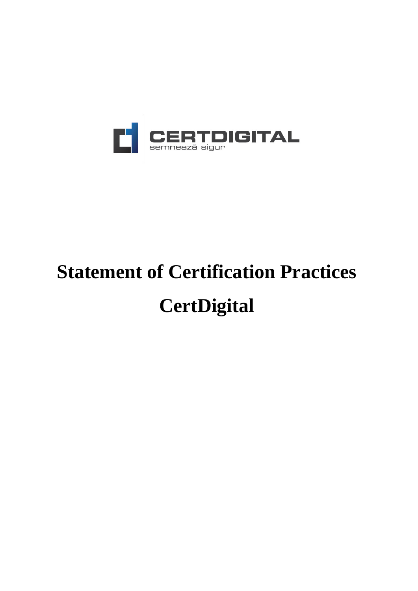

# **Statement of Certification Practices CertDigital**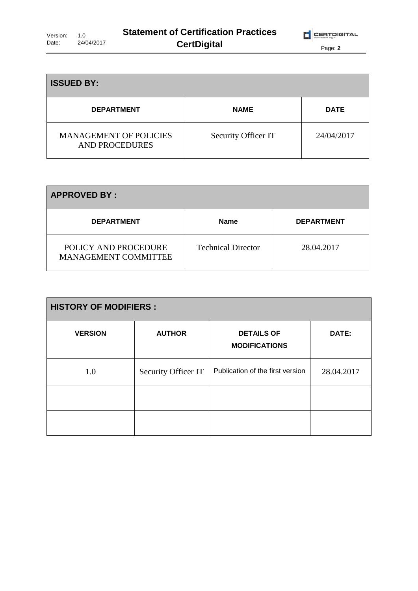| <b>ISSUED BY:</b>                                      |                     |             |
|--------------------------------------------------------|---------------------|-------------|
| <b>DEPARTMENT</b>                                      | <b>NAME</b>         | <b>DATE</b> |
| <b>MANAGEMENT OF POLICIES</b><br><b>AND PROCEDURES</b> | Security Officer IT | 24/04/2017  |

| <b>APPROVED BY:</b>                                 |                           |                   |
|-----------------------------------------------------|---------------------------|-------------------|
| <b>DEPARTMENT</b>                                   | <b>Name</b>               | <b>DEPARTMENT</b> |
| POLICY AND PROCEDURE<br><b>MANAGEMENT COMMITTEE</b> | <b>Technical Director</b> | 28.04.2017        |

| <b>HISTORY OF MODIFIERS:</b> |                     |                                           |            |
|------------------------------|---------------------|-------------------------------------------|------------|
| <b>VERSION</b>               | <b>AUTHOR</b>       | <b>DETAILS OF</b><br><b>MODIFICATIONS</b> | DATE:      |
| 1.0                          | Security Officer IT | Publication of the first version          | 28.04.2017 |
|                              |                     |                                           |            |
|                              |                     |                                           |            |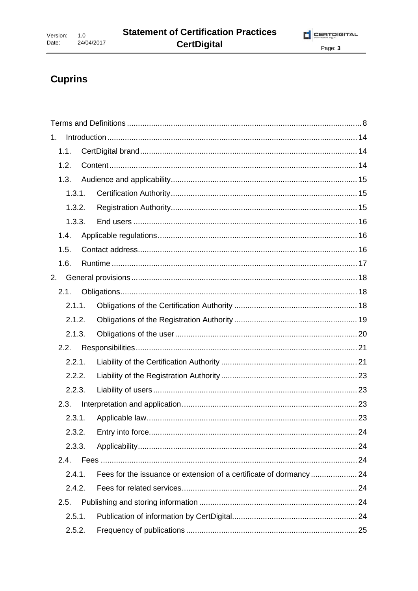# **Cuprins**

| 1. |        |        |                                                                    |    |
|----|--------|--------|--------------------------------------------------------------------|----|
|    | 1.1.   |        |                                                                    |    |
|    | 1.2.   |        |                                                                    |    |
|    | 1.3.   |        |                                                                    |    |
|    |        | 1.3.1. |                                                                    |    |
|    |        | 1.3.2. |                                                                    |    |
|    |        | 1.3.3. |                                                                    |    |
|    | 1.4.   |        |                                                                    |    |
|    | 1.5.   |        |                                                                    |    |
|    | 1.6.   |        |                                                                    |    |
| 2. |        |        |                                                                    |    |
|    | 2.1.   |        |                                                                    |    |
|    | 2.1.1. |        |                                                                    |    |
|    | 2.1.2. |        |                                                                    |    |
|    | 2.1.3. |        |                                                                    |    |
|    | 2.2.   |        |                                                                    |    |
|    | 2.2.1. |        |                                                                    |    |
|    |        | 2.2.2. |                                                                    |    |
|    | 2.2.3. |        |                                                                    |    |
|    | 2.3.   |        |                                                                    |    |
|    | 2.3.1. |        |                                                                    |    |
|    |        |        | 2.3.2. Entry into force                                            | 24 |
|    | 2.3.3. |        |                                                                    |    |
|    | 2.4.   |        |                                                                    |    |
|    | 2.4.1. |        | Fees for the issuance or extension of a certificate of dormancy 24 |    |
|    | 2.4.2. |        |                                                                    |    |
|    | 2.5.   |        |                                                                    |    |
|    | 2.5.1. |        |                                                                    |    |
|    | 2.5.2. |        |                                                                    |    |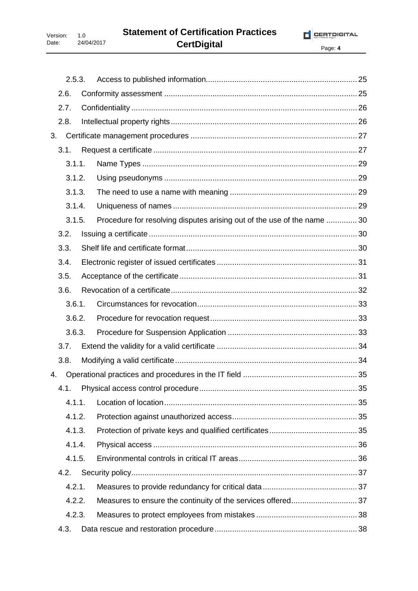| 2.5.3. |                                                                        |  |
|--------|------------------------------------------------------------------------|--|
| 2.6.   |                                                                        |  |
| 2.7.   |                                                                        |  |
| 2.8.   |                                                                        |  |
| 3.     |                                                                        |  |
| 3.1.   |                                                                        |  |
| 3.1.1. |                                                                        |  |
| 3.1.2. |                                                                        |  |
| 3.1.3. |                                                                        |  |
| 3.1.4. |                                                                        |  |
| 3.1.5. | Procedure for resolving disputes arising out of the use of the name 30 |  |
| 3.2.   |                                                                        |  |
| 3.3.   |                                                                        |  |
| 3.4.   |                                                                        |  |
| 3.5.   |                                                                        |  |
| 3.6.   |                                                                        |  |
| 3.6.1. |                                                                        |  |
| 3.6.2. |                                                                        |  |
| 3.6.3. |                                                                        |  |
| 3.7.   |                                                                        |  |
| 3.8.   |                                                                        |  |
| 4.     |                                                                        |  |
| 4.1.   |                                                                        |  |
| 4.1.1. |                                                                        |  |
| 4.1.2. |                                                                        |  |
| 4.1.3. |                                                                        |  |
| 4.1.4. |                                                                        |  |
| 4.1.5. |                                                                        |  |
| 4.2.   |                                                                        |  |
| 4.2.1. |                                                                        |  |
| 4.2.2. |                                                                        |  |
| 4.2.3. |                                                                        |  |
| 4.3.   |                                                                        |  |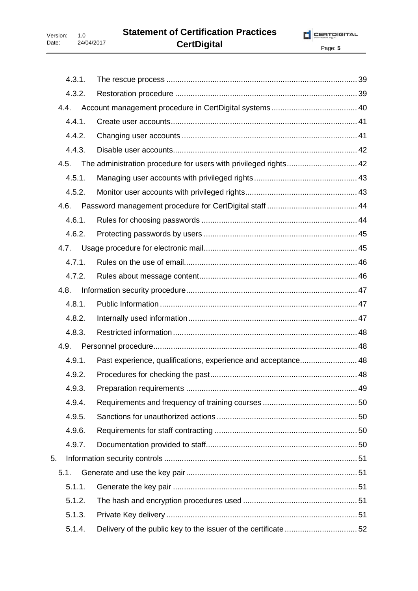|    | 4.3.1. |                                                                  |  |
|----|--------|------------------------------------------------------------------|--|
|    | 4.3.2. |                                                                  |  |
|    | 4.4.   |                                                                  |  |
|    | 4.4.1. |                                                                  |  |
|    | 4.4.2. |                                                                  |  |
|    | 4.4.3. |                                                                  |  |
|    | 4.5.   | The administration procedure for users with privileged rights 42 |  |
|    | 4.5.1. |                                                                  |  |
|    | 4.5.2. |                                                                  |  |
|    | 4.6.   |                                                                  |  |
|    | 4.6.1. |                                                                  |  |
|    | 4.6.2. |                                                                  |  |
|    | 4.7.   |                                                                  |  |
|    | 4.7.1. |                                                                  |  |
|    | 4.7.2. |                                                                  |  |
|    | 4.8.   |                                                                  |  |
|    | 4.8.1. |                                                                  |  |
|    | 4.8.2. |                                                                  |  |
|    | 4.8.3. |                                                                  |  |
|    | 4.9.   |                                                                  |  |
|    | 4.9.1. | Past experience, qualifications, experience and acceptance 48    |  |
|    | 4.9.2. |                                                                  |  |
|    | 4.9.3. |                                                                  |  |
|    | 4.9.4. |                                                                  |  |
|    | 4.9.5. |                                                                  |  |
|    | 4.9.6. |                                                                  |  |
|    | 4.9.7. |                                                                  |  |
| 5. |        |                                                                  |  |
|    | 5.1.   |                                                                  |  |
|    | 5.1.1. |                                                                  |  |
|    | 5.1.2. |                                                                  |  |
|    | 5.1.3. |                                                                  |  |
|    | 5.1.4. |                                                                  |  |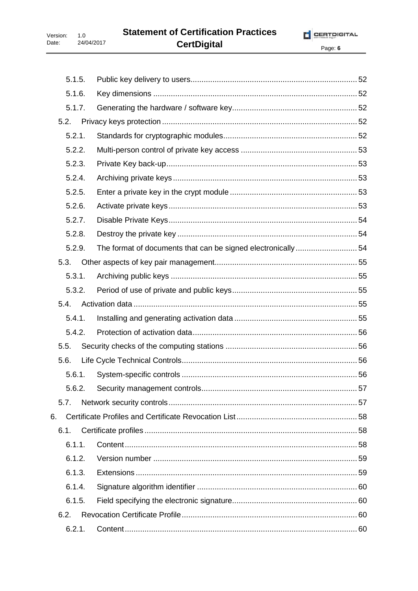Version:  $1.0$ 24/04/2017 Date:

Page: 6

| 5.1.5. |                                                             |  |
|--------|-------------------------------------------------------------|--|
| 5.1.6. |                                                             |  |
| 5.1.7. |                                                             |  |
| 5.2.   |                                                             |  |
| 5.2.1. |                                                             |  |
| 5.2.2. |                                                             |  |
| 5.2.3. |                                                             |  |
| 5.2.4. |                                                             |  |
| 5.2.5. |                                                             |  |
| 5.2.6. |                                                             |  |
| 5.2.7. |                                                             |  |
| 5.2.8. |                                                             |  |
| 5.2.9. | The format of documents that can be signed electronically54 |  |
| 5.3.   |                                                             |  |
| 5.3.1. |                                                             |  |
| 5.3.2. |                                                             |  |
| 5.4.   |                                                             |  |
| 5.4.1. |                                                             |  |
| 5.4.2. |                                                             |  |
| 5.5.   |                                                             |  |
| 5.6.   |                                                             |  |
| 5.6.1. |                                                             |  |
|        |                                                             |  |
| 5.7.   |                                                             |  |
| 6.     |                                                             |  |
| 6.1.   |                                                             |  |
| 6.1.1. |                                                             |  |
| 6.1.2. |                                                             |  |
| 6.1.3. |                                                             |  |
| 6.1.4. |                                                             |  |
| 6.1.5. |                                                             |  |
| 6.2.   |                                                             |  |
| 6.2.1. |                                                             |  |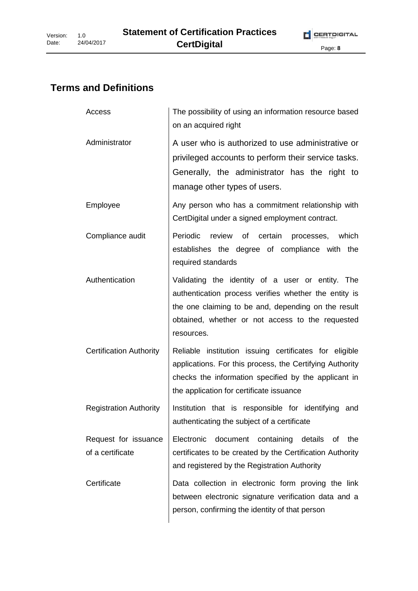# **Terms and Definitions**

| Access                                   | The possibility of using an information resource based<br>on an acquired right                                                                                                                                                     |
|------------------------------------------|------------------------------------------------------------------------------------------------------------------------------------------------------------------------------------------------------------------------------------|
| Administrator                            | A user who is authorized to use administrative or<br>privileged accounts to perform their service tasks.<br>Generally, the administrator has the right to<br>manage other types of users.                                          |
| Employee                                 | Any person who has a commitment relationship with<br>CertDigital under a signed employment contract.                                                                                                                               |
| Compliance audit                         | Periodic review of certain processes, which<br>establishes the degree of compliance with the<br>required standards                                                                                                                 |
| Authentication                           | Validating the identity of a user or entity. The<br>authentication process verifies whether the entity is<br>the one claiming to be and, depending on the result<br>obtained, whether or not access to the requested<br>resources. |
| <b>Certification Authority</b>           | Reliable institution issuing certificates for eligible<br>applications. For this process, the Certifying Authority<br>checks the information specified by the applicant in<br>the application for certificate issuance             |
| <b>Registration Authority</b>            | Institution that is responsible for identifying and<br>authenticating the subject of a certificate                                                                                                                                 |
| Request for issuance<br>of a certificate | document<br>Electronic<br>containing<br>details<br>the<br>0f<br>certificates to be created by the Certification Authority<br>and registered by the Registration Authority                                                          |
| Certificate                              | Data collection in electronic form proving the link<br>between electronic signature verification data and a<br>person, confirming the identity of that person                                                                      |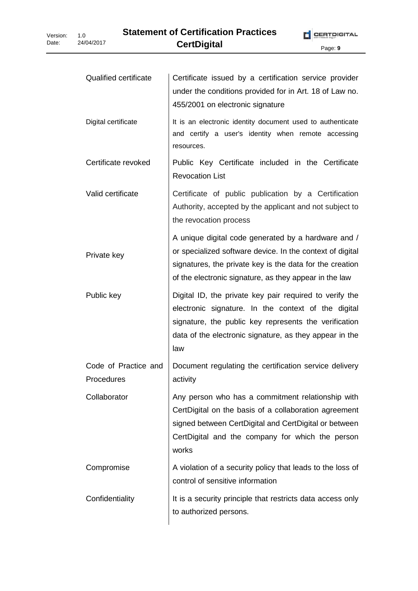| <b>Qualified certificate</b>       | Certificate issued by a certification service provider<br>under the conditions provided for in Art. 18 of Law no.<br>455/2001 on electronic signature                                                                                     |
|------------------------------------|-------------------------------------------------------------------------------------------------------------------------------------------------------------------------------------------------------------------------------------------|
| Digital certificate                | It is an electronic identity document used to authenticate<br>and certify a user's identity when remote accessing<br>resources.                                                                                                           |
| Certificate revoked                | Public Key Certificate included in the Certificate<br><b>Revocation List</b>                                                                                                                                                              |
| Valid certificate                  | Certificate of public publication by a Certification<br>Authority, accepted by the applicant and not subject to<br>the revocation process                                                                                                 |
| Private key                        | A unique digital code generated by a hardware and /<br>or specialized software device. In the context of digital<br>signatures, the private key is the data for the creation<br>of the electronic signature, as they appear in the law    |
| Public key                         | Digital ID, the private key pair required to verify the<br>electronic signature. In the context of the digital<br>signature, the public key represents the verification<br>data of the electronic signature, as they appear in the<br>law |
| Code of Practice and<br>Procedures | Document regulating the certification service delivery<br>activity                                                                                                                                                                        |
| Collaborator                       | Any person who has a commitment relationship with<br>CertDigital on the basis of a collaboration agreement<br>signed between CertDigital and CertDigital or between<br>CertDigital and the company for which the person<br>works          |
| Compromise                         | A violation of a security policy that leads to the loss of<br>control of sensitive information                                                                                                                                            |
| Confidentiality                    | It is a security principle that restricts data access only<br>to authorized persons.                                                                                                                                                      |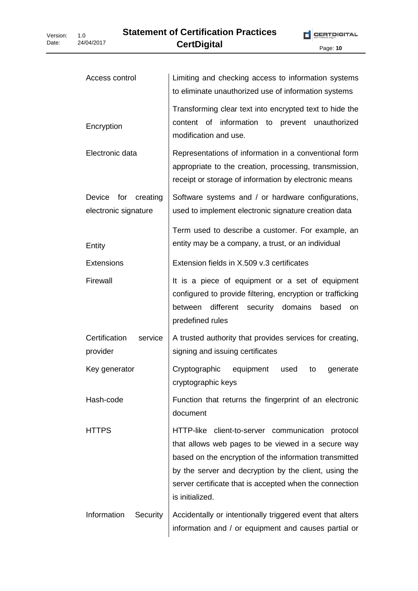| Access control                                 | Limiting and checking access to information systems<br>to eliminate unauthorized use of information systems                                                                                                                                                                                              |
|------------------------------------------------|----------------------------------------------------------------------------------------------------------------------------------------------------------------------------------------------------------------------------------------------------------------------------------------------------------|
| Encryption                                     | Transforming clear text into encrypted text to hide the<br>information to<br>content of<br>prevent unauthorized<br>modification and use.                                                                                                                                                                 |
| Electronic data                                | Representations of information in a conventional form<br>appropriate to the creation, processing, transmission,<br>receipt or storage of information by electronic means                                                                                                                                 |
| Device<br>for creating<br>electronic signature | Software systems and / or hardware configurations,<br>used to implement electronic signature creation data                                                                                                                                                                                               |
| Entity                                         | Term used to describe a customer. For example, an<br>entity may be a company, a trust, or an individual                                                                                                                                                                                                  |
| <b>Extensions</b>                              | Extension fields in X.509 v.3 certificates                                                                                                                                                                                                                                                               |
| Firewall                                       | It is a piece of equipment or a set of equipment<br>configured to provide filtering, encryption or trafficking<br>security domains based<br>between<br>different<br><b>on</b><br>predefined rules                                                                                                        |
| Certification<br>service<br>provider           | A trusted authority that provides services for creating,<br>signing and issuing certificates                                                                                                                                                                                                             |
| Key generator                                  | Cryptographic equipment<br>used<br>generate<br>to<br>cryptographic keys                                                                                                                                                                                                                                  |
| Hash-code                                      | Function that returns the fingerprint of an electronic<br>document                                                                                                                                                                                                                                       |
| <b>HTTPS</b>                                   | HTTP-like client-to-server communication protocol<br>that allows web pages to be viewed in a secure way<br>based on the encryption of the information transmitted<br>by the server and decryption by the client, using the<br>server certificate that is accepted when the connection<br>is initialized. |
| Information<br>Security                        | Accidentally or intentionally triggered event that alters<br>information and / or equipment and causes partial or                                                                                                                                                                                        |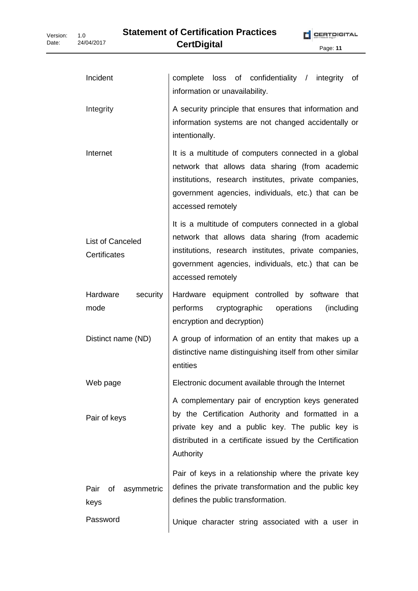| Incident                         | loss of confidentiality / integrity<br>complete<br>of<br>information or unavailability.                                                                                                                                                      |
|----------------------------------|----------------------------------------------------------------------------------------------------------------------------------------------------------------------------------------------------------------------------------------------|
| Integrity                        | A security principle that ensures that information and<br>information systems are not changed accidentally or<br>intentionally.                                                                                                              |
| Internet                         | It is a multitude of computers connected in a global<br>network that allows data sharing (from academic<br>institutions, research institutes, private companies,<br>government agencies, individuals, etc.) that can be<br>accessed remotely |
| List of Canceled<br>Certificates | It is a multitude of computers connected in a global<br>network that allows data sharing (from academic<br>institutions, research institutes, private companies,<br>government agencies, individuals, etc.) that can be<br>accessed remotely |
| Hardware<br>security<br>mode     | Hardware equipment controlled by software that<br>performs<br>cryptographic<br>(including<br>operations<br>encryption and decryption)                                                                                                        |
| Distinct name (ND)               | A group of information of an entity that makes up a<br>distinctive name distinguishing itself from other similar<br>entities                                                                                                                 |
| Web page                         | Electronic document available through the Internet                                                                                                                                                                                           |
| Pair of keys                     | A complementary pair of encryption keys generated<br>by the Certification Authority and formatted in a<br>private key and a public key. The public key is<br>distributed in a certificate issued by the Certification<br>Authority           |
| asymmetric<br>Pair<br>οf<br>keys | Pair of keys in a relationship where the private key<br>defines the private transformation and the public key<br>defines the public transformation.                                                                                          |
| Password                         | Unique character string associated with a user in                                                                                                                                                                                            |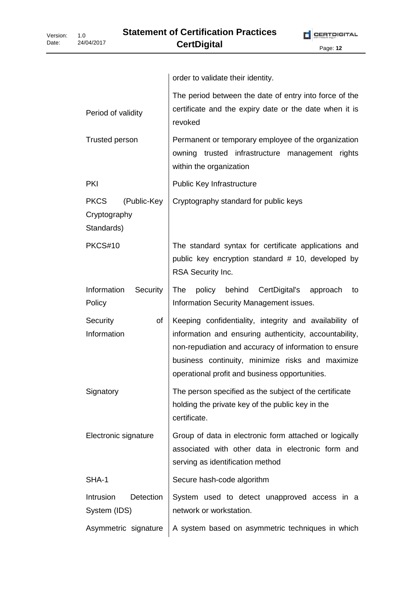|                                                          | order to validate their identity.                                                                                                                                                                                                                                               |
|----------------------------------------------------------|---------------------------------------------------------------------------------------------------------------------------------------------------------------------------------------------------------------------------------------------------------------------------------|
| Period of validity                                       | The period between the date of entry into force of the<br>certificate and the expiry date or the date when it is<br>revoked                                                                                                                                                     |
| Trusted person                                           | Permanent or temporary employee of the organization<br>owning trusted infrastructure management<br>rights<br>within the organization                                                                                                                                            |
| <b>PKI</b>                                               | Public Key Infrastructure                                                                                                                                                                                                                                                       |
| <b>PKCS</b><br>(Public-Key<br>Cryptography<br>Standards) | Cryptography standard for public keys                                                                                                                                                                                                                                           |
| PKCS#10                                                  | The standard syntax for certificate applications and<br>public key encryption standard # 10, developed by<br>RSA Security Inc.                                                                                                                                                  |
| Information<br>Security<br>Policy                        | policy behind<br><b>The</b><br>CertDigital's<br>approach<br>to<br>Information Security Management issues.                                                                                                                                                                       |
| Security<br>of<br>Information                            | Keeping confidentiality, integrity and availability of<br>information and ensuring authenticity, accountability,<br>non-repudiation and accuracy of information to ensure<br>business continuity, minimize risks and maximize<br>operational profit and business opportunities. |
| Signatory                                                | The person specified as the subject of the certificate<br>holding the private key of the public key in the<br>certificate.                                                                                                                                                      |
| Electronic signature                                     | Group of data in electronic form attached or logically<br>associated with other data in electronic form and<br>serving as identification method                                                                                                                                 |
| SHA-1                                                    | Secure hash-code algorithm                                                                                                                                                                                                                                                      |
| Intrusion<br>Detection<br>System (IDS)                   | System used to detect unapproved access in a<br>network or workstation.                                                                                                                                                                                                         |
| Asymmetric signature                                     | A system based on asymmetric techniques in which                                                                                                                                                                                                                                |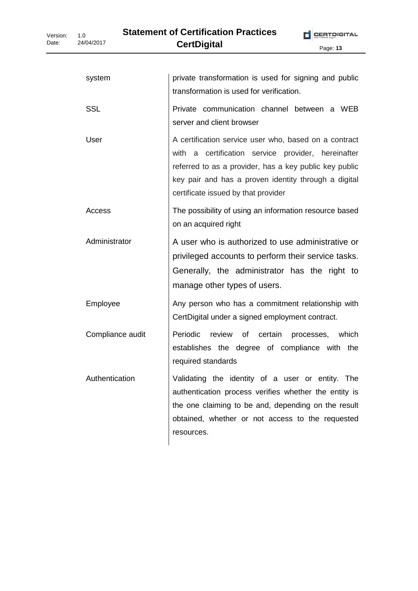| system           | private transformation is used for signing and public<br>transformation is used for verification.                                                                                                                                                                       |
|------------------|-------------------------------------------------------------------------------------------------------------------------------------------------------------------------------------------------------------------------------------------------------------------------|
| <b>SSL</b>       | Private communication channel between a WEB<br>server and client browser                                                                                                                                                                                                |
| User             | A certification service user who, based on a contract<br>a certification service provider, hereinafter<br>with<br>referred to as a provider, has a key public key public<br>key pair and has a proven identity through a digital<br>certificate issued by that provider |
| Access           | The possibility of using an information resource based<br>on an acquired right                                                                                                                                                                                          |
| Administrator    | A user who is authorized to use administrative or<br>privileged accounts to perform their service tasks.<br>Generally, the administrator has the right to<br>manage other types of users.                                                                               |
| Employee         | Any person who has a commitment relationship with<br>CertDigital under a signed employment contract.                                                                                                                                                                    |
| Compliance audit | Periodic<br>review<br>of<br>certain<br>which<br>processes,<br>establishes the degree of compliance with the<br>required standards                                                                                                                                       |
| Authentication   | Validating the identity of a user or entity. The<br>authentication process verifies whether the entity is<br>the one claiming to be and, depending on the result<br>obtained, whether or not access to the requested<br>resources.                                      |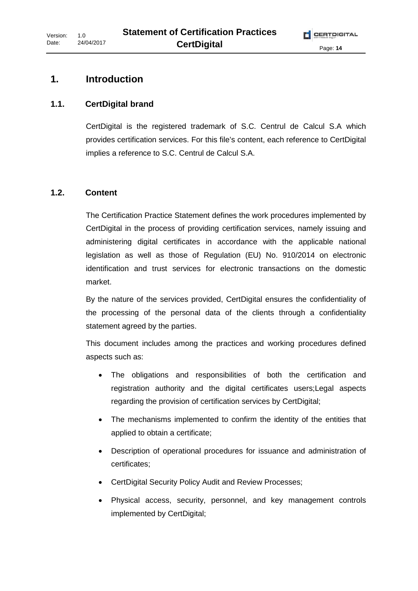# **1. Introduction**

# **1.1. CertDigital brand**

CertDigital is the registered trademark of S.C. Centrul de Calcul S.A which provides certification services. For this file's content, each reference to CertDigital implies a reference to S.C. Centrul de Calcul S.A.

# **1.2. Content**

The Certification Practice Statement defines the work procedures implemented by CertDigital in the process of providing certification services, namely issuing and administering digital certificates in accordance with the applicable national legislation as well as those of Regulation (EU) No. 910/2014 on electronic identification and trust services for electronic transactions on the domestic market.

By the nature of the services provided, CertDigital ensures the confidentiality of the processing of the personal data of the clients through a confidentiality statement agreed by the parties.

This document includes among the practices and working procedures defined aspects such as:

- The obligations and responsibilities of both the certification and registration authority and the digital certificates users;Legal aspects regarding the provision of certification services by CertDigital;
- The mechanisms implemented to confirm the identity of the entities that applied to obtain a certificate;
- Description of operational procedures for issuance and administration of certificates;
- CertDigital Security Policy Audit and Review Processes;
- Physical access, security, personnel, and key management controls implemented by CertDigital;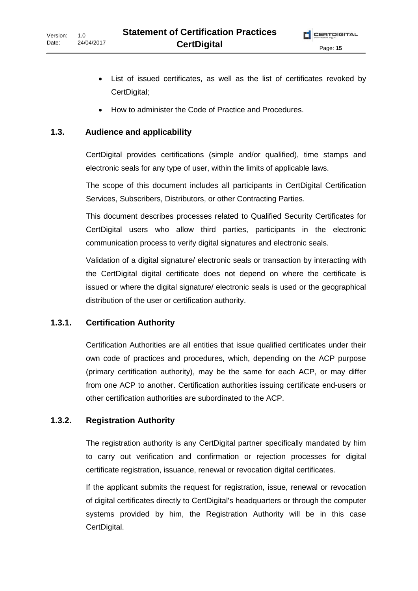- List of issued certificates, as well as the list of certificates revoked by CertDigital;
- How to administer the Code of Practice and Procedures.

#### **1.3. Audience and applicability**

CertDigital provides certifications (simple and/or qualified), time stamps and electronic seals for any type of user, within the limits of applicable laws.

The scope of this document includes all participants in CertDigital Certification Services, Subscribers, Distributors, or other Contracting Parties.

This document describes processes related to Qualified Security Certificates for CertDigital users who allow third parties, participants in the electronic communication process to verify digital signatures and electronic seals.

Validation of a digital signature/ electronic seals or transaction by interacting with the CertDigital digital certificate does not depend on where the certificate is issued or where the digital signature/ electronic seals is used or the geographical distribution of the user or certification authority.

#### **1.3.1. Certification Authority**

Certification Authorities are all entities that issue qualified certificates under their own code of practices and procedures, which, depending on the ACP purpose (primary certification authority), may be the same for each ACP, or may differ from one ACP to another. Certification authorities issuing certificate end-users or other certification authorities are subordinated to the ACP.

#### **1.3.2. Registration Authority**

The registration authority is any CertDigital partner specifically mandated by him to carry out verification and confirmation or rejection processes for digital certificate registration, issuance, renewal or revocation digital certificates.

If the applicant submits the request for registration, issue, renewal or revocation of digital certificates directly to CertDigital's headquarters or through the computer systems provided by him, the Registration Authority will be in this case CertDigital.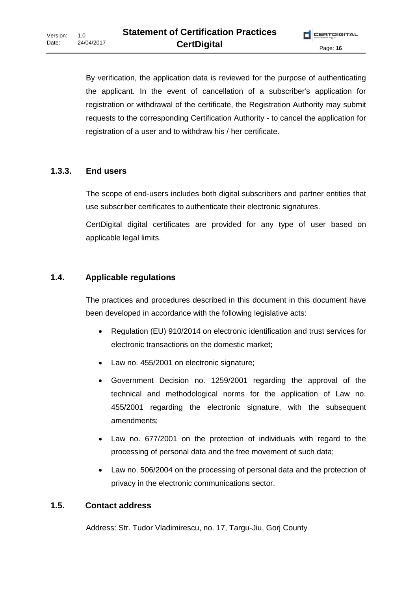By verification, the application data is reviewed for the purpose of authenticating the applicant. In the event of cancellation of a subscriber's application for registration or withdrawal of the certificate, the Registration Authority may submit requests to the corresponding Certification Authority - to cancel the application for registration of a user and to withdraw his / her certificate.

### **1.3.3. End users**

The scope of end-users includes both digital subscribers and partner entities that use subscriber certificates to authenticate their electronic signatures.

CertDigital digital certificates are provided for any type of user based on applicable legal limits.

#### **1.4. Applicable regulations**

The practices and procedures described in this document in this document have been developed in accordance with the following legislative acts:

- Regulation (EU) 910/2014 on electronic identification and trust services for electronic transactions on the domestic market;
- Law no. 455/2001 on electronic signature;
- Government Decision no. 1259/2001 regarding the approval of the technical and methodological norms for the application of Law no. 455/2001 regarding the electronic signature, with the subsequent amendments;
- Law no. 677/2001 on the protection of individuals with regard to the processing of personal data and the free movement of such data;
- Law no. 506/2004 on the processing of personal data and the protection of privacy in the electronic communications sector.

#### **1.5. Contact address**

Address: Str. Tudor Vladimirescu, no. 17, Targu-Jiu, Gorj County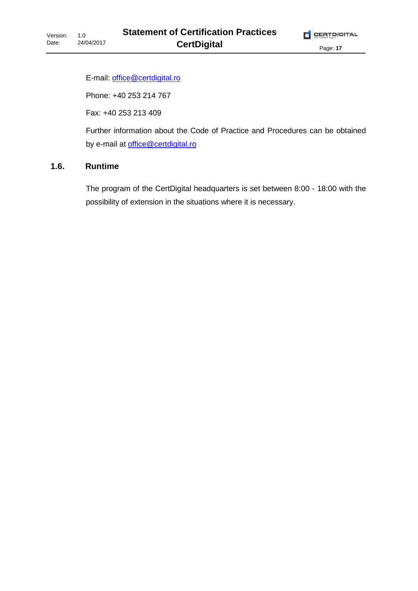E-mail: office@certdigital.ro

Phone: +40 253 214 767

Fax: +40 253 213 409

Further information about the Code of Practice and Procedures can be obtained by e-mail at office@certdigital.ro

#### **1.6. Runtime**

The program of the CertDigital headquarters is set between 8:00 - 18:00 with the possibility of extension in the situations where it is necessary.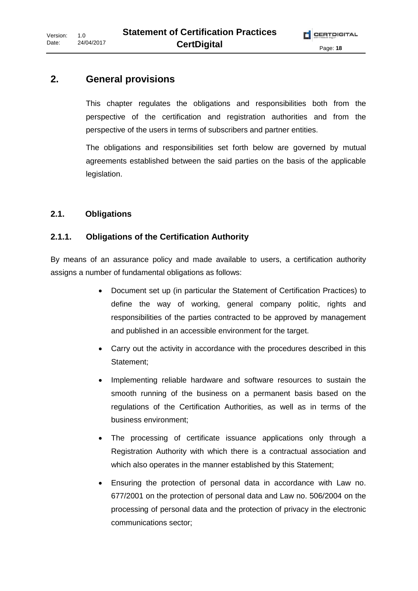# **2. General provisions**

This chapter regulates the obligations and responsibilities both from the perspective of the certification and registration authorities and from the perspective of the users in terms of subscribers and partner entities.

The obligations and responsibilities set forth below are governed by mutual agreements established between the said parties on the basis of the applicable legislation.

#### **2.1. Obligations**

#### **2.1.1. Obligations of the Certification Authority**

By means of an assurance policy and made available to users, a certification authority assigns a number of fundamental obligations as follows:

- Document set up (in particular the Statement of Certification Practices) to define the way of working, general company politic, rights and responsibilities of the parties contracted to be approved by management and published in an accessible environment for the target.
- Carry out the activity in accordance with the procedures described in this Statement;
- Implementing reliable hardware and software resources to sustain the smooth running of the business on a permanent basis based on the regulations of the Certification Authorities, as well as in terms of the business environment;
- The processing of certificate issuance applications only through a Registration Authority with which there is a contractual association and which also operates in the manner established by this Statement;
- Ensuring the protection of personal data in accordance with Law no. 677/2001 on the protection of personal data and Law no. 506/2004 on the processing of personal data and the protection of privacy in the electronic communications sector;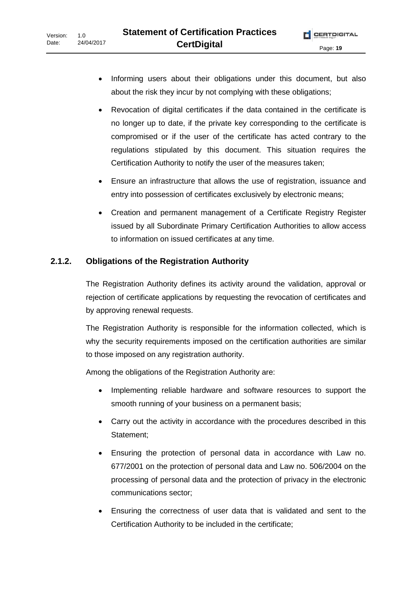- Informing users about their obligations under this document, but also about the risk they incur by not complying with these obligations;
- Revocation of digital certificates if the data contained in the certificate is no longer up to date, if the private key corresponding to the certificate is compromised or if the user of the certificate has acted contrary to the regulations stipulated by this document. This situation requires the Certification Authority to notify the user of the measures taken;
- Ensure an infrastructure that allows the use of registration, issuance and entry into possession of certificates exclusively by electronic means;
- Creation and permanent management of a Certificate Registry Register issued by all Subordinate Primary Certification Authorities to allow access to information on issued certificates at any time.

### **2.1.2. Obligations of the Registration Authority**

The Registration Authority defines its activity around the validation, approval or rejection of certificate applications by requesting the revocation of certificates and by approving renewal requests.

The Registration Authority is responsible for the information collected, which is why the security requirements imposed on the certification authorities are similar to those imposed on any registration authority.

Among the obligations of the Registration Authority are:

- Implementing reliable hardware and software resources to support the smooth running of your business on a permanent basis;
- Carry out the activity in accordance with the procedures described in this Statement;
- Ensuring the protection of personal data in accordance with Law no. 677/2001 on the protection of personal data and Law no. 506/2004 on the processing of personal data and the protection of privacy in the electronic communications sector;
- Ensuring the correctness of user data that is validated and sent to the Certification Authority to be included in the certificate;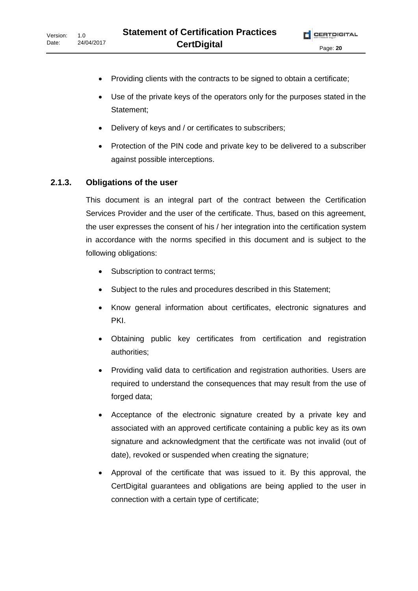- Providing clients with the contracts to be signed to obtain a certificate;
- Use of the private keys of the operators only for the purposes stated in the Statement;
- Delivery of keys and / or certificates to subscribers;
- Protection of the PIN code and private key to be delivered to a subscriber against possible interceptions.

#### **2.1.3. Obligations of the user**

This document is an integral part of the contract between the Certification Services Provider and the user of the certificate. Thus, based on this agreement, the user expresses the consent of his / her integration into the certification system in accordance with the norms specified in this document and is subject to the following obligations:

- Subscription to contract terms;
- Subject to the rules and procedures described in this Statement;
- Know general information about certificates, electronic signatures and PKI.
- Obtaining public key certificates from certification and registration authorities;
- Providing valid data to certification and registration authorities. Users are required to understand the consequences that may result from the use of forged data;
- Acceptance of the electronic signature created by a private key and associated with an approved certificate containing a public key as its own signature and acknowledgment that the certificate was not invalid (out of date), revoked or suspended when creating the signature;
- Approval of the certificate that was issued to it. By this approval, the CertDigital guarantees and obligations are being applied to the user in connection with a certain type of certificate;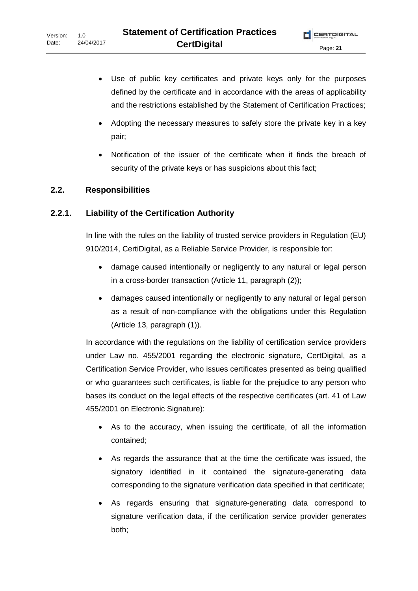- Use of public key certificates and private keys only for the purposes defined by the certificate and in accordance with the areas of applicability and the restrictions established by the Statement of Certification Practices;
- Adopting the necessary measures to safely store the private key in a key pair;
- Notification of the issuer of the certificate when it finds the breach of security of the private keys or has suspicions about this fact;

#### **2.2. Responsibilities**

#### **2.2.1. Liability of the Certification Authority**

In line with the rules on the liability of trusted service providers in Regulation (EU) 910/2014, CertiDigital, as a Reliable Service Provider, is responsible for:

- damage caused intentionally or negligently to any natural or legal person in a cross-border transaction (Article 11, paragraph (2));
- damages caused intentionally or negligently to any natural or legal person as a result of non-compliance with the obligations under this Regulation (Article 13, paragraph (1)).

In accordance with the regulations on the liability of certification service providers under Law no. 455/2001 regarding the electronic signature, CertDigital, as a Certification Service Provider, who issues certificates presented as being qualified or who guarantees such certificates, is liable for the prejudice to any person who bases its conduct on the legal effects of the respective certificates (art. 41 of Law 455/2001 on Electronic Signature):

- As to the accuracy, when issuing the certificate, of all the information contained;
- As regards the assurance that at the time the certificate was issued, the signatory identified in it contained the signature-generating data corresponding to the signature verification data specified in that certificate;
- As regards ensuring that signature-generating data correspond to signature verification data, if the certification service provider generates both;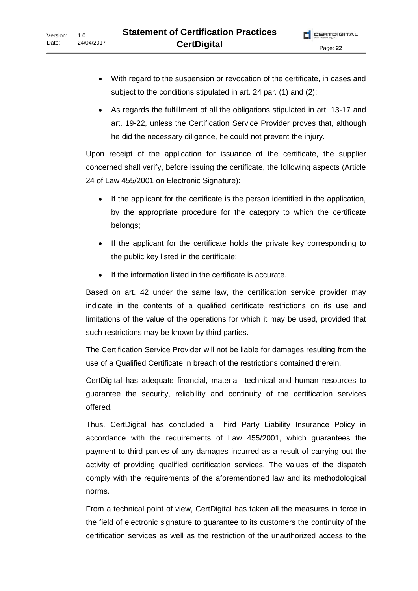- With regard to the suspension or revocation of the certificate, in cases and subject to the conditions stipulated in art. 24 par. (1) and (2);
- As regards the fulfillment of all the obligations stipulated in art. 13-17 and art. 19-22, unless the Certification Service Provider proves that, although he did the necessary diligence, he could not prevent the injury.

Upon receipt of the application for issuance of the certificate, the supplier concerned shall verify, before issuing the certificate, the following aspects (Article 24 of Law 455/2001 on Electronic Signature):

- If the applicant for the certificate is the person identified in the application, by the appropriate procedure for the category to which the certificate belongs;
- If the applicant for the certificate holds the private key corresponding to the public key listed in the certificate;
- If the information listed in the certificate is accurate.

Based on art. 42 under the same law, the certification service provider may indicate in the contents of a qualified certificate restrictions on its use and limitations of the value of the operations for which it may be used, provided that such restrictions may be known by third parties.

The Certification Service Provider will not be liable for damages resulting from the use of a Qualified Certificate in breach of the restrictions contained therein.

CertDigital has adequate financial, material, technical and human resources to guarantee the security, reliability and continuity of the certification services offered.

Thus, CertDigital has concluded a Third Party Liability Insurance Policy in accordance with the requirements of Law 455/2001, which guarantees the payment to third parties of any damages incurred as a result of carrying out the activity of providing qualified certification services. The values of the dispatch comply with the requirements of the aforementioned law and its methodological norms.

From a technical point of view, CertDigital has taken all the measures in force in the field of electronic signature to guarantee to its customers the continuity of the certification services as well as the restriction of the unauthorized access to the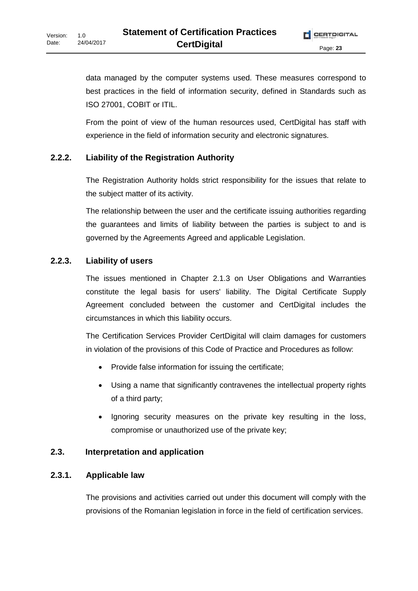data managed by the computer systems used. These measures correspond to best practices in the field of information security, defined in Standards such as ISO 27001, COBIT or ITIL.

From the point of view of the human resources used, CertDigital has staff with experience in the field of information security and electronic signatures.

#### **2.2.2. Liability of the Registration Authority**

The Registration Authority holds strict responsibility for the issues that relate to the subject matter of its activity.

The relationship between the user and the certificate issuing authorities regarding the guarantees and limits of liability between the parties is subject to and is governed by the Agreements Agreed and applicable Legislation.

#### **2.2.3. Liability of users**

The issues mentioned in Chapter 2.1.3 on User Obligations and Warranties constitute the legal basis for users' liability. The Digital Certificate Supply Agreement concluded between the customer and CertDigital includes the circumstances in which this liability occurs.

The Certification Services Provider CertDigital will claim damages for customers in violation of the provisions of this Code of Practice and Procedures as follow:

- Provide false information for issuing the certificate;
- Using a name that significantly contravenes the intellectual property rights of a third party;
- Ignoring security measures on the private key resulting in the loss, compromise or unauthorized use of the private key;

#### **2.3. Interpretation and application**

#### **2.3.1. Applicable law**

The provisions and activities carried out under this document will comply with the provisions of the Romanian legislation in force in the field of certification services.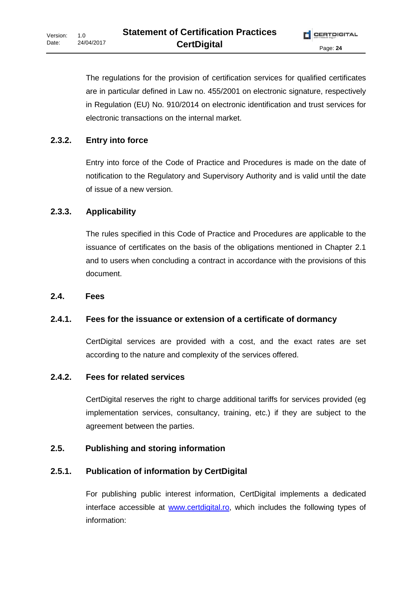The regulations for the provision of certification services for qualified certificates are in particular defined in Law no. 455/2001 on electronic signature, respectively in Regulation (EU) No. 910/2014 on electronic identification and trust services for electronic transactions on the internal market.

# **2.3.2. Entry into force**

Entry into force of the Code of Practice and Procedures is made on the date of notification to the Regulatory and Supervisory Authority and is valid until the date of issue of a new version.

# **2.3.3. Applicability**

The rules specified in this Code of Practice and Procedures are applicable to the issuance of certificates on the basis of the obligations mentioned in Chapter 2.1 and to users when concluding a contract in accordance with the provisions of this document.

#### **2.4. Fees**

#### **2.4.1. Fees for the issuance or extension of a certificate of dormancy**

CertDigital services are provided with a cost, and the exact rates are set according to the nature and complexity of the services offered.

#### **2.4.2. Fees for related services**

CertDigital reserves the right to charge additional tariffs for services provided (eg implementation services, consultancy, training, etc.) if they are subject to the agreement between the parties.

#### **2.5. Publishing and storing information**

# **2.5.1. Publication of information by CertDigital**

For publishing public interest information, CertDigital implements a dedicated interface accessible at www.certdigital.ro, which includes the following types of information: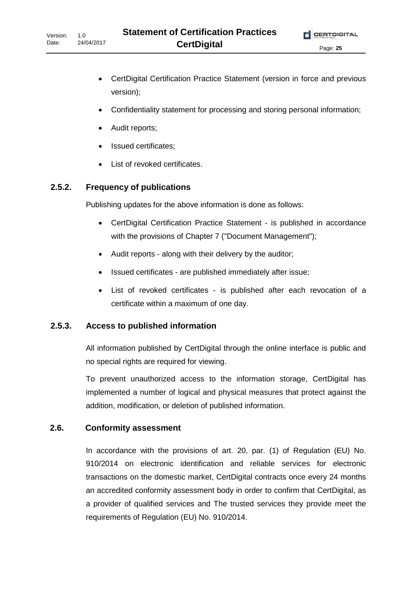- CertDigital Certification Practice Statement (version in force and previous version);
- Confidentiality statement for processing and storing personal information;
- Audit reports;
- Issued certificates;
- List of revoked certificates.

### **2.5.2. Frequency of publications**

Publishing updates for the above information is done as follows:

- CertDigital Certification Practice Statement is published in accordance with the provisions of Chapter 7 ("Document Management");
- Audit reports along with their delivery by the auditor;
- Issued certificates are published immediately after issue;
- List of revoked certificates is published after each revocation of a certificate within a maximum of one day.

#### **2.5.3. Access to published information**

All information published by CertDigital through the online interface is public and no special rights are required for viewing.

To prevent unauthorized access to the information storage, CertDigital has implemented a number of logical and physical measures that protect against the addition, modification, or deletion of published information.

#### **2.6. Conformity assessment**

In accordance with the provisions of art. 20, par. (1) of Regulation (EU) No. 910/2014 on electronic identification and reliable services for electronic transactions on the domestic market, CertDigital contracts once every 24 months an accredited conformity assessment body in order to confirm that CertDigital, as a provider of qualified services and The trusted services they provide meet the requirements of Regulation (EU) No. 910/2014.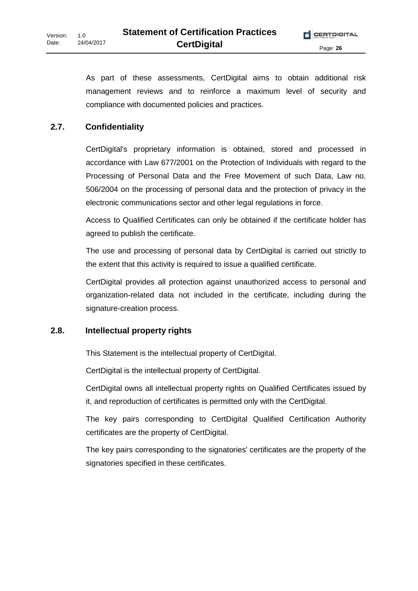As part of these assessments, CertDigital aims to obtain additional risk management reviews and to reinforce a maximum level of security and compliance with documented policies and practices.

#### **2.7. Confidentiality**

CertDigital's proprietary information is obtained, stored and processed in accordance with Law 677/2001 on the Protection of Individuals with regard to the Processing of Personal Data and the Free Movement of such Data, Law no. 506/2004 on the processing of personal data and the protection of privacy in the electronic communications sector and other legal regulations in force.

Access to Qualified Certificates can only be obtained if the certificate holder has agreed to publish the certificate.

The use and processing of personal data by CertDigital is carried out strictly to the extent that this activity is required to issue a qualified certificate.

CertDigital provides all protection against unauthorized access to personal and organization-related data not included in the certificate, including during the signature-creation process.

#### **2.8. Intellectual property rights**

This Statement is the intellectual property of CertDigital.

CertDigital is the intellectual property of CertDigital.

CertDigital owns all intellectual property rights on Qualified Certificates issued by it, and reproduction of certificates is permitted only with the CertDigital.

The key pairs corresponding to CertDigital Qualified Certification Authority certificates are the property of CertDigital.

The key pairs corresponding to the signatories' certificates are the property of the signatories specified in these certificates.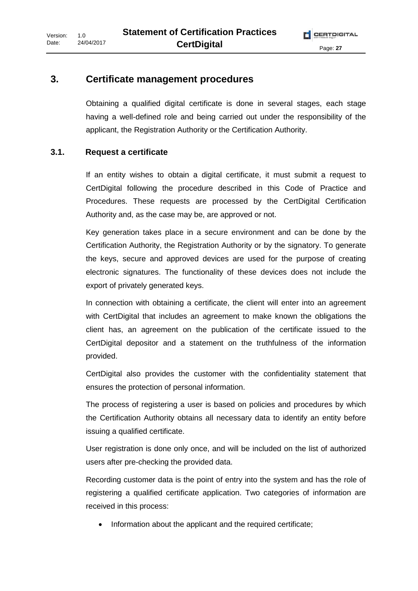#### **3. Certificate management procedures**

Obtaining a qualified digital certificate is done in several stages, each stage having a well-defined role and being carried out under the responsibility of the applicant, the Registration Authority or the Certification Authority.

#### **3.1. Request a certificate**

If an entity wishes to obtain a digital certificate, it must submit a request to CertDigital following the procedure described in this Code of Practice and Procedures. These requests are processed by the CertDigital Certification Authority and, as the case may be, are approved or not.

Key generation takes place in a secure environment and can be done by the Certification Authority, the Registration Authority or by the signatory. To generate the keys, secure and approved devices are used for the purpose of creating electronic signatures. The functionality of these devices does not include the export of privately generated keys.

In connection with obtaining a certificate, the client will enter into an agreement with CertDigital that includes an agreement to make known the obligations the client has, an agreement on the publication of the certificate issued to the CertDigital depositor and a statement on the truthfulness of the information provided.

CertDigital also provides the customer with the confidentiality statement that ensures the protection of personal information.

The process of registering a user is based on policies and procedures by which the Certification Authority obtains all necessary data to identify an entity before issuing a qualified certificate.

User registration is done only once, and will be included on the list of authorized users after pre-checking the provided data.

Recording customer data is the point of entry into the system and has the role of registering a qualified certificate application. Two categories of information are received in this process:

• Information about the applicant and the required certificate;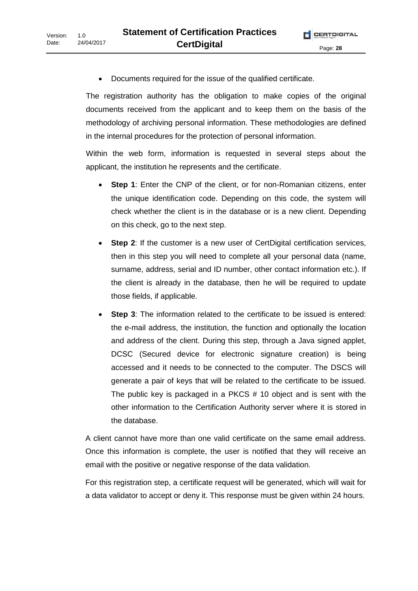• Documents required for the issue of the qualified certificate.

The registration authority has the obligation to make copies of the original documents received from the applicant and to keep them on the basis of the methodology of archiving personal information. These methodologies are defined in the internal procedures for the protection of personal information.

Within the web form, information is requested in several steps about the applicant, the institution he represents and the certificate.

- **Step 1**: Enter the CNP of the client, or for non-Romanian citizens, enter the unique identification code. Depending on this code, the system will check whether the client is in the database or is a new client. Depending on this check, go to the next step.
- **Step 2**: If the customer is a new user of CertDigital certification services, then in this step you will need to complete all your personal data (name, surname, address, serial and ID number, other contact information etc.). If the client is already in the database, then he will be required to update those fields, if applicable.
- **Step 3**: The information related to the certificate to be issued is entered: the e-mail address, the institution, the function and optionally the location and address of the client. During this step, through a Java signed applet, DCSC (Secured device for electronic signature creation) is being accessed and it needs to be connected to the computer. The DSCS will generate a pair of keys that will be related to the certificate to be issued. The public key is packaged in a PKCS # 10 object and is sent with the other information to the Certification Authority server where it is stored in the database.

A client cannot have more than one valid certificate on the same email address. Once this information is complete, the user is notified that they will receive an email with the positive or negative response of the data validation.

For this registration step, a certificate request will be generated, which will wait for a data validator to accept or deny it. This response must be given within 24 hours.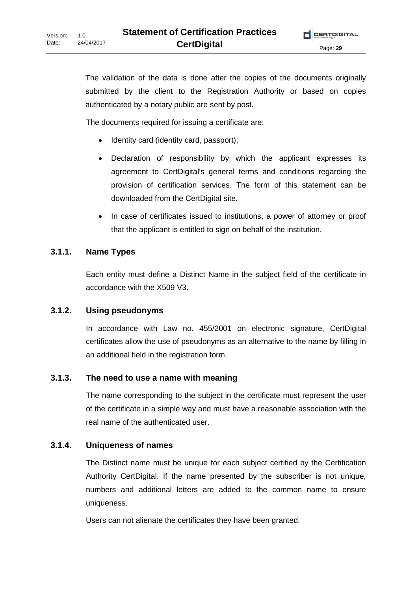The validation of the data is done after the copies of the documents originally submitted by the client to the Registration Authority or based on copies authenticated by a notary public are sent by post.

The documents required for issuing a certificate are:

- Identity card (identity card, passport);
- Declaration of responsibility by which the applicant expresses its agreement to CertDigital's general terms and conditions regarding the provision of certification services. The form of this statement can be downloaded from the CertDigital site.
- In case of certificates issued to institutions, a power of attorney or proof that the applicant is entitled to sign on behalf of the institution.

#### **3.1.1. Name Types**

Each entity must define a Distinct Name in the subject field of the certificate in accordance with the X509 V3.

#### **3.1.2. Using pseudonyms**

In accordance with Law no. 455/2001 on electronic signature, CertDigital certificates allow the use of pseudonyms as an alternative to the name by filling in an additional field in the registration form.

#### **3.1.3. The need to use a name with meaning**

The name corresponding to the subject in the certificate must represent the user of the certificate in a simple way and must have a reasonable association with the real name of the authenticated user.

#### **3.1.4. Uniqueness of names**

The Distinct name must be unique for each subject certified by the Certification Authority CertDigital. If the name presented by the subscriber is not unique, numbers and additional letters are added to the common name to ensure uniqueness.

Users can not alienate the certificates they have been granted.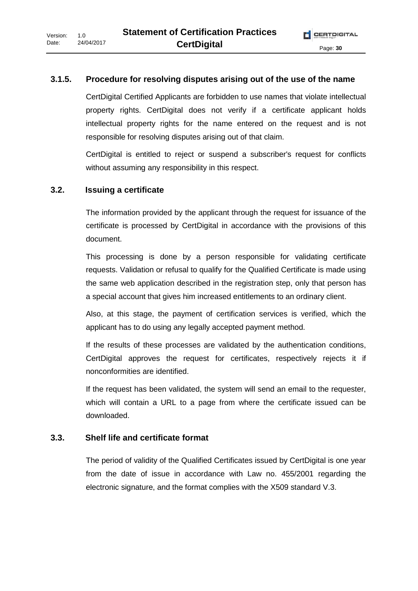#### **3.1.5. Procedure for resolving disputes arising out of the use of the name**

CertDigital Certified Applicants are forbidden to use names that violate intellectual property rights. CertDigital does not verify if a certificate applicant holds intellectual property rights for the name entered on the request and is not responsible for resolving disputes arising out of that claim.

CertDigital is entitled to reject or suspend a subscriber's request for conflicts without assuming any responsibility in this respect.

#### **3.2. Issuing a certificate**

The information provided by the applicant through the request for issuance of the certificate is processed by CertDigital in accordance with the provisions of this document.

This processing is done by a person responsible for validating certificate requests. Validation or refusal to qualify for the Qualified Certificate is made using the same web application described in the registration step, only that person has a special account that gives him increased entitlements to an ordinary client.

Also, at this stage, the payment of certification services is verified, which the applicant has to do using any legally accepted payment method.

If the results of these processes are validated by the authentication conditions, CertDigital approves the request for certificates, respectively rejects it if nonconformities are identified.

If the request has been validated, the system will send an email to the requester, which will contain a URL to a page from where the certificate issued can be downloaded.

#### **3.3. Shelf life and certificate format**

The period of validity of the Qualified Certificates issued by CertDigital is one year from the date of issue in accordance with Law no. 455/2001 regarding the electronic signature, and the format complies with the X509 standard V.3.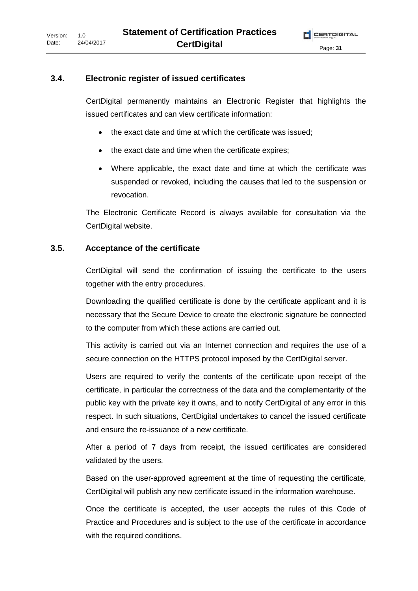#### **3.4. Electronic register of issued certificates**

CertDigital permanently maintains an Electronic Register that highlights the issued certificates and can view certificate information:

- the exact date and time at which the certificate was issued;
- the exact date and time when the certificate expires;
- Where applicable, the exact date and time at which the certificate was suspended or revoked, including the causes that led to the suspension or revocation.

The Electronic Certificate Record is always available for consultation via the CertDigital website.

#### **3.5. Acceptance of the certificate**

CertDigital will send the confirmation of issuing the certificate to the users together with the entry procedures.

Downloading the qualified certificate is done by the certificate applicant and it is necessary that the Secure Device to create the electronic signature be connected to the computer from which these actions are carried out.

This activity is carried out via an Internet connection and requires the use of a secure connection on the HTTPS protocol imposed by the CertDigital server.

Users are required to verify the contents of the certificate upon receipt of the certificate, in particular the correctness of the data and the complementarity of the public key with the private key it owns, and to notify CertDigital of any error in this respect. In such situations, CertDigital undertakes to cancel the issued certificate and ensure the re-issuance of a new certificate.

After a period of 7 days from receipt, the issued certificates are considered validated by the users.

Based on the user-approved agreement at the time of requesting the certificate, CertDigital will publish any new certificate issued in the information warehouse.

Once the certificate is accepted, the user accepts the rules of this Code of Practice and Procedures and is subject to the use of the certificate in accordance with the required conditions.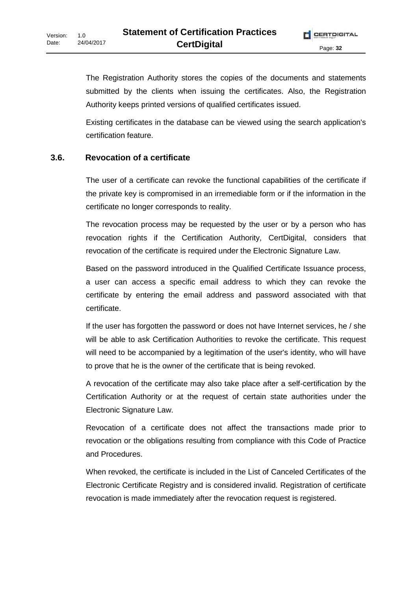The Registration Authority stores the copies of the documents and statements submitted by the clients when issuing the certificates. Also, the Registration Authority keeps printed versions of qualified certificates issued.

Existing certificates in the database can be viewed using the search application's certification feature.

#### **3.6. Revocation of a certificate**

The user of a certificate can revoke the functional capabilities of the certificate if the private key is compromised in an irremediable form or if the information in the certificate no longer corresponds to reality.

The revocation process may be requested by the user or by a person who has revocation rights if the Certification Authority, CertDigital, considers that revocation of the certificate is required under the Electronic Signature Law.

Based on the password introduced in the Qualified Certificate Issuance process, a user can access a specific email address to which they can revoke the certificate by entering the email address and password associated with that certificate.

If the user has forgotten the password or does not have Internet services, he / she will be able to ask Certification Authorities to revoke the certificate. This request will need to be accompanied by a legitimation of the user's identity, who will have to prove that he is the owner of the certificate that is being revoked.

A revocation of the certificate may also take place after a self-certification by the Certification Authority or at the request of certain state authorities under the Electronic Signature Law.

Revocation of a certificate does not affect the transactions made prior to revocation or the obligations resulting from compliance with this Code of Practice and Procedures.

When revoked, the certificate is included in the List of Canceled Certificates of the Electronic Certificate Registry and is considered invalid. Registration of certificate revocation is made immediately after the revocation request is registered.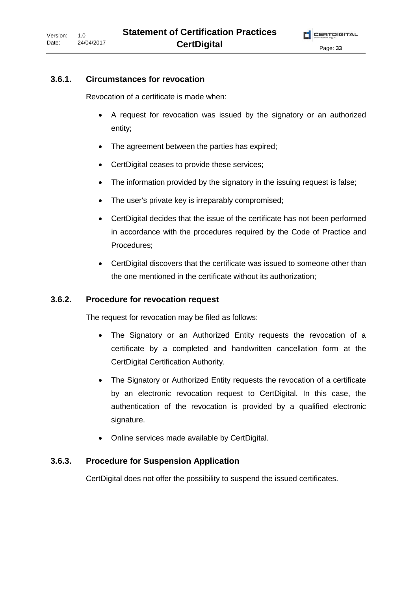#### **3.6.1. Circumstances for revocation**

Revocation of a certificate is made when:

- A request for revocation was issued by the signatory or an authorized entity;
- The agreement between the parties has expired;
- CertDigital ceases to provide these services;
- The information provided by the signatory in the issuing request is false;
- The user's private key is irreparably compromised;
- CertDigital decides that the issue of the certificate has not been performed in accordance with the procedures required by the Code of Practice and Procedures;
- CertDigital discovers that the certificate was issued to someone other than the one mentioned in the certificate without its authorization;

#### **3.6.2. Procedure for revocation request**

The request for revocation may be filed as follows:

- The Signatory or an Authorized Entity requests the revocation of a certificate by a completed and handwritten cancellation form at the CertDigital Certification Authority.
- The Signatory or Authorized Entity requests the revocation of a certificate by an electronic revocation request to CertDigital. In this case, the authentication of the revocation is provided by a qualified electronic signature.
- Online services made available by CertDigital.

#### **3.6.3. Procedure for Suspension Application**

CertDigital does not offer the possibility to suspend the issued certificates.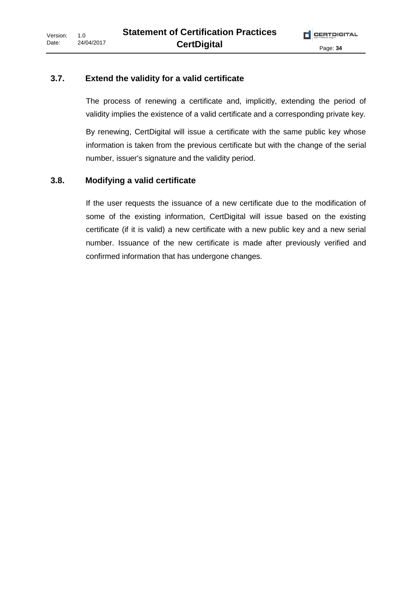#### **3.7. Extend the validity for a valid certificate**

The process of renewing a certificate and, implicitly, extending the period of validity implies the existence of a valid certificate and a corresponding private key.

By renewing, CertDigital will issue a certificate with the same public key whose information is taken from the previous certificate but with the change of the serial number, issuer's signature and the validity period.

#### **3.8. Modifying a valid certificate**

If the user requests the issuance of a new certificate due to the modification of some of the existing information, CertDigital will issue based on the existing certificate (if it is valid) a new certificate with a new public key and a new serial number. Issuance of the new certificate is made after previously verified and confirmed information that has undergone changes.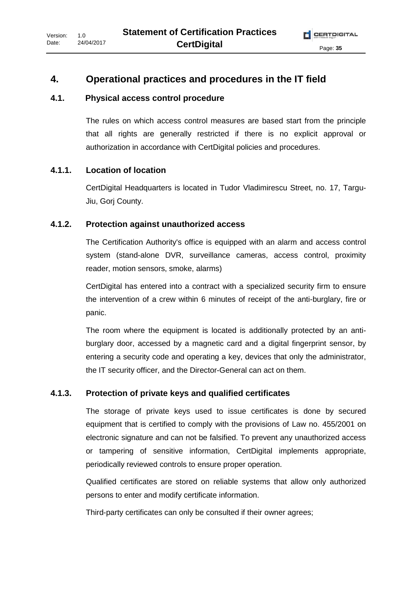# **4. Operational practices and procedures in the IT field**

### **4.1. Physical access control procedure**

The rules on which access control measures are based start from the principle that all rights are generally restricted if there is no explicit approval or authorization in accordance with CertDigital policies and procedures.

# **4.1.1. Location of location**

CertDigital Headquarters is located in Tudor Vladimirescu Street, no. 17, Targu-Jiu, Gorj County.

# **4.1.2. Protection against unauthorized access**

The Certification Authority's office is equipped with an alarm and access control system (stand-alone DVR, surveillance cameras, access control, proximity reader, motion sensors, smoke, alarms)

CertDigital has entered into a contract with a specialized security firm to ensure the intervention of a crew within 6 minutes of receipt of the anti-burglary, fire or panic.

The room where the equipment is located is additionally protected by an antiburglary door, accessed by a magnetic card and a digital fingerprint sensor, by entering a security code and operating a key, devices that only the administrator, the IT security officer, and the Director-General can act on them.

# **4.1.3. Protection of private keys and qualified certificates**

The storage of private keys used to issue certificates is done by secured equipment that is certified to comply with the provisions of Law no. 455/2001 on electronic signature and can not be falsified. To prevent any unauthorized access or tampering of sensitive information, CertDigital implements appropriate, periodically reviewed controls to ensure proper operation.

Qualified certificates are stored on reliable systems that allow only authorized persons to enter and modify certificate information.

Third-party certificates can only be consulted if their owner agrees;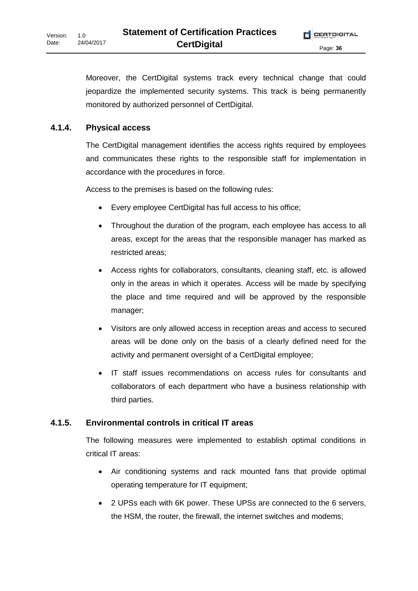Moreover, the CertDigital systems track every technical change that could jeopardize the implemented security systems. This track is being permanently monitored by authorized personnel of CertDigital.

#### **4.1.4. Physical access**

The CertDigital management identifies the access rights required by employees and communicates these rights to the responsible staff for implementation in accordance with the procedures in force.

Access to the premises is based on the following rules:

- Every employee CertDigital has full access to his office;
- Throughout the duration of the program, each employee has access to all areas, except for the areas that the responsible manager has marked as restricted areas;
- Access rights for collaborators, consultants, cleaning staff, etc. is allowed only in the areas in which it operates. Access will be made by specifying the place and time required and will be approved by the responsible manager;
- Visitors are only allowed access in reception areas and access to secured areas will be done only on the basis of a clearly defined need for the activity and permanent oversight of a CertDigital employee;
- IT staff issues recommendations on access rules for consultants and collaborators of each department who have a business relationship with third parties.

#### **4.1.5. Environmental controls in critical IT areas**

The following measures were implemented to establish optimal conditions in critical IT areas:

- Air conditioning systems and rack mounted fans that provide optimal operating temperature for IT equipment;
- 2 UPSs each with 6K power. These UPSs are connected to the 6 servers, the HSM, the router, the firewall, the internet switches and modems;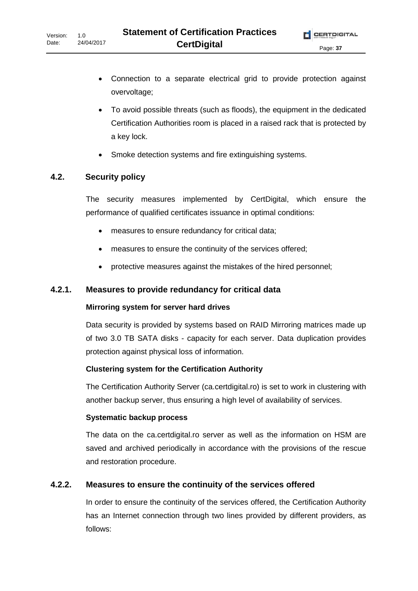- Connection to a separate electrical grid to provide protection against overvoltage;
- To avoid possible threats (such as floods), the equipment in the dedicated Certification Authorities room is placed in a raised rack that is protected by a key lock.
- Smoke detection systems and fire extinguishing systems.

#### **4.2. Security policy**

The security measures implemented by CertDigital, which ensure the performance of qualified certificates issuance in optimal conditions:

- measures to ensure redundancy for critical data;
- measures to ensure the continuity of the services offered;
- protective measures against the mistakes of the hired personnel;

#### **4.2.1. Measures to provide redundancy for critical data**

#### **Mirroring system for server hard drives**

Data security is provided by systems based on RAID Mirroring matrices made up of two 3.0 TB SATA disks - capacity for each server. Data duplication provides protection against physical loss of information.

#### **Clustering system for the Certification Authority**

The Certification Authority Server (ca.certdigital.ro) is set to work in clustering with another backup server, thus ensuring a high level of availability of services.

#### **Systematic backup process**

The data on the ca.certdigital.ro server as well as the information on HSM are saved and archived periodically in accordance with the provisions of the rescue and restoration procedure.

#### **4.2.2. Measures to ensure the continuity of the services offered**

In order to ensure the continuity of the services offered, the Certification Authority has an Internet connection through two lines provided by different providers, as follows: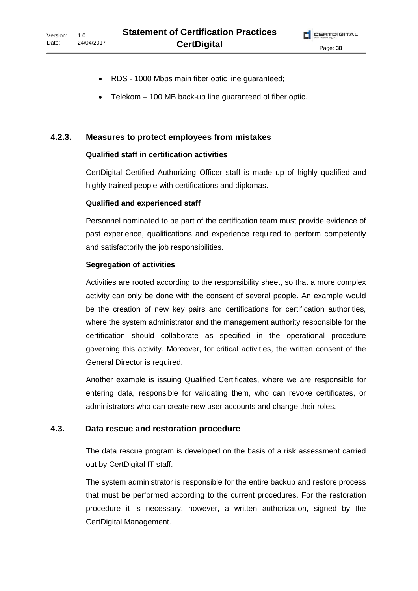- RDS 1000 Mbps main fiber optic line guaranteed;
- Telekom 100 MB back-up line guaranteed of fiber optic.

#### **4.2.3. Measures to protect employees from mistakes**

#### **Qualified staff in certification activities**

CertDigital Certified Authorizing Officer staff is made up of highly qualified and highly trained people with certifications and diplomas.

#### **Qualified and experienced staff**

Personnel nominated to be part of the certification team must provide evidence of past experience, qualifications and experience required to perform competently and satisfactorily the job responsibilities.

#### **Segregation of activities**

Activities are rooted according to the responsibility sheet, so that a more complex activity can only be done with the consent of several people. An example would be the creation of new key pairs and certifications for certification authorities, where the system administrator and the management authority responsible for the certification should collaborate as specified in the operational procedure governing this activity. Moreover, for critical activities, the written consent of the General Director is required.

Another example is issuing Qualified Certificates, where we are responsible for entering data, responsible for validating them, who can revoke certificates, or administrators who can create new user accounts and change their roles.

#### **4.3. Data rescue and restoration procedure**

The data rescue program is developed on the basis of a risk assessment carried out by CertDigital IT staff.

The system administrator is responsible for the entire backup and restore process that must be performed according to the current procedures. For the restoration procedure it is necessary, however, a written authorization, signed by the CertDigital Management.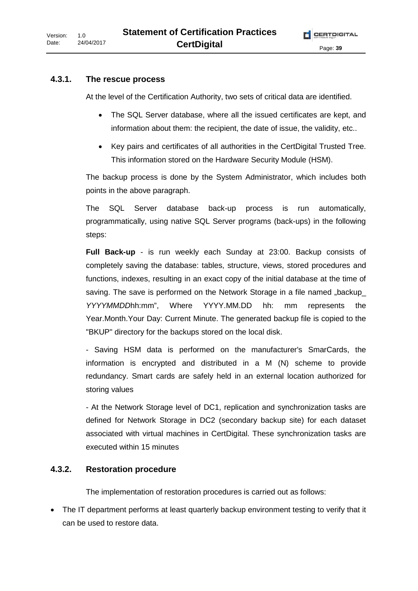#### **4.3.1. The rescue process**

At the level of the Certification Authority, two sets of critical data are identified.

- The SQL Server database, where all the issued certificates are kept, and information about them: the recipient, the date of issue, the validity, etc..
- Key pairs and certificates of all authorities in the CertDigital Trusted Tree. This information stored on the Hardware Security Module (HSM).

The backup process is done by the System Administrator, which includes both points in the above paragraph.

The SQL Server database back-up process is run automatically, programmatically, using native SQL Server programs (back-ups) in the following steps:

**Full Back-up** - is run weekly each Sunday at 23:00. Backup consists of completely saving the database: tables, structure, views, stored procedures and functions, indexes, resulting in an exact copy of the initial database at the time of saving. The save is performed on the Network Storage in a file named "backup *YYYYMMDD*hh:mm", Where YYYY.MM.DD hh: mm represents the Year.Month.Your Day: Current Minute. The generated backup file is copied to the "BKUP" directory for the backups stored on the local disk.

- Saving HSM data is performed on the manufacturer's SmarCards, the information is encrypted and distributed in a M (N) scheme to provide redundancy. Smart cards are safely held in an external location authorized for storing values

- At the Network Storage level of DC1, replication and synchronization tasks are defined for Network Storage in DC2 (secondary backup site) for each dataset associated with virtual machines in CertDigital. These synchronization tasks are executed within 15 minutes

#### **4.3.2. Restoration procedure**

The implementation of restoration procedures is carried out as follows:

• The IT department performs at least quarterly backup environment testing to verify that it can be used to restore data.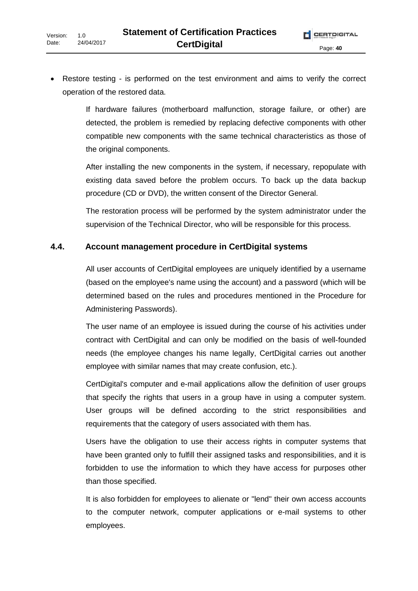• Restore testing - is performed on the test environment and aims to verify the correct operation of the restored data.

> If hardware failures (motherboard malfunction, storage failure, or other) are detected, the problem is remedied by replacing defective components with other compatible new components with the same technical characteristics as those of the original components.

> After installing the new components in the system, if necessary, repopulate with existing data saved before the problem occurs. To back up the data backup procedure (CD or DVD), the written consent of the Director General.

> The restoration process will be performed by the system administrator under the supervision of the Technical Director, who will be responsible for this process.

#### **4.4. Account management procedure in CertDigital systems**

All user accounts of CertDigital employees are uniquely identified by a username (based on the employee's name using the account) and a password (which will be determined based on the rules and procedures mentioned in the Procedure for Administering Passwords).

The user name of an employee is issued during the course of his activities under contract with CertDigital and can only be modified on the basis of well-founded needs (the employee changes his name legally, CertDigital carries out another employee with similar names that may create confusion, etc.).

CertDigital's computer and e-mail applications allow the definition of user groups that specify the rights that users in a group have in using a computer system. User groups will be defined according to the strict responsibilities and requirements that the category of users associated with them has.

Users have the obligation to use their access rights in computer systems that have been granted only to fulfill their assigned tasks and responsibilities, and it is forbidden to use the information to which they have access for purposes other than those specified.

It is also forbidden for employees to alienate or "lend" their own access accounts to the computer network, computer applications or e-mail systems to other employees.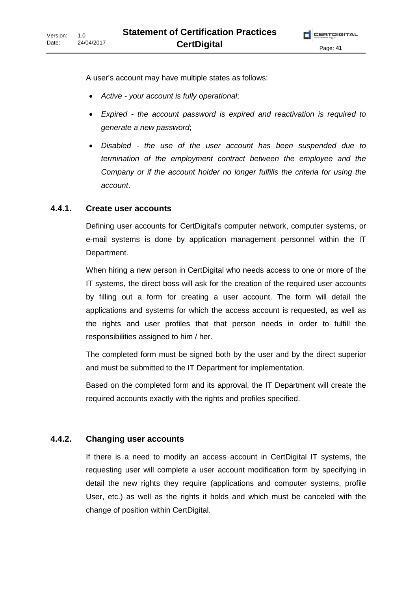A user's account may have multiple states as follows:

- *Active your account is fully operational*;
- *Expired the account password is expired and reactivation is required to generate a new password*;
- *Disabled the use of the user account has been suspended due to termination of the employment contract between the employee and the Company or if the account holder no longer fulfills the criteria for using the account*.

# **4.4.1. Create user accounts**

Defining user accounts for CertDigital's computer network, computer systems, or e-mail systems is done by application management personnel within the IT Department.

When hiring a new person in CertDigital who needs access to one or more of the IT systems, the direct boss will ask for the creation of the required user accounts by filling out a form for creating a user account. The form will detail the applications and systems for which the access account is requested, as well as the rights and user profiles that that person needs in order to fulfill the responsibilities assigned to him / her.

The completed form must be signed both by the user and by the direct superior and must be submitted to the IT Department for implementation.

Based on the completed form and its approval, the IT Department will create the required accounts exactly with the rights and profiles specified.

# **4.4.2. Changing user accounts**

If there is a need to modify an access account in CertDigital IT systems, the requesting user will complete a user account modification form by specifying in detail the new rights they require (applications and computer systems, profile User, etc.) as well as the rights it holds and which must be canceled with the change of position within CertDigital.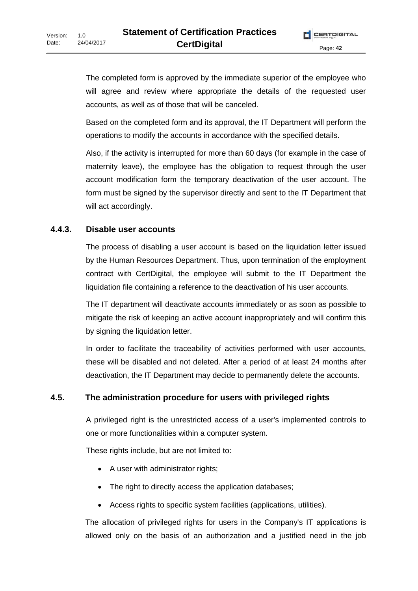The completed form is approved by the immediate superior of the employee who will agree and review where appropriate the details of the requested user accounts, as well as of those that will be canceled.

Based on the completed form and its approval, the IT Department will perform the operations to modify the accounts in accordance with the specified details.

Also, if the activity is interrupted for more than 60 days (for example in the case of maternity leave), the employee has the obligation to request through the user account modification form the temporary deactivation of the user account. The form must be signed by the supervisor directly and sent to the IT Department that will act accordingly.

#### **4.4.3. Disable user accounts**

The process of disabling a user account is based on the liquidation letter issued by the Human Resources Department. Thus, upon termination of the employment contract with CertDigital, the employee will submit to the IT Department the liquidation file containing a reference to the deactivation of his user accounts.

The IT department will deactivate accounts immediately or as soon as possible to mitigate the risk of keeping an active account inappropriately and will confirm this by signing the liquidation letter.

In order to facilitate the traceability of activities performed with user accounts, these will be disabled and not deleted. After a period of at least 24 months after deactivation, the IT Department may decide to permanently delete the accounts.

#### **4.5. The administration procedure for users with privileged rights**

A privileged right is the unrestricted access of a user's implemented controls to one or more functionalities within a computer system.

These rights include, but are not limited to:

- A user with administrator rights;
- The right to directly access the application databases;
- Access rights to specific system facilities (applications, utilities).

The allocation of privileged rights for users in the Company's IT applications is allowed only on the basis of an authorization and a justified need in the job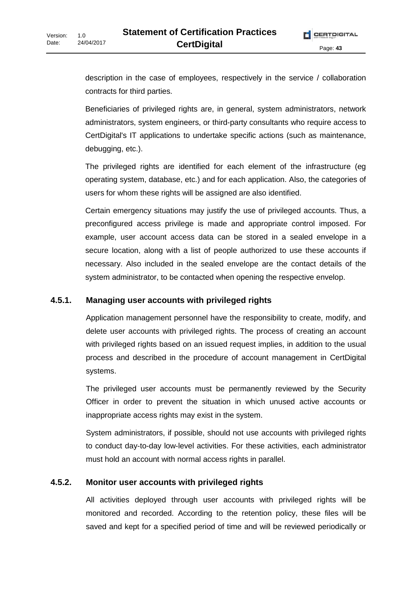description in the case of employees, respectively in the service / collaboration contracts for third parties.

Beneficiaries of privileged rights are, in general, system administrators, network administrators, system engineers, or third-party consultants who require access to CertDigital's IT applications to undertake specific actions (such as maintenance, debugging, etc.).

The privileged rights are identified for each element of the infrastructure (eg operating system, database, etc.) and for each application. Also, the categories of users for whom these rights will be assigned are also identified.

Certain emergency situations may justify the use of privileged accounts. Thus, a preconfigured access privilege is made and appropriate control imposed. For example, user account access data can be stored in a sealed envelope in a secure location, along with a list of people authorized to use these accounts if necessary. Also included in the sealed envelope are the contact details of the system administrator, to be contacted when opening the respective envelop.

#### **4.5.1. Managing user accounts with privileged rights**

Application management personnel have the responsibility to create, modify, and delete user accounts with privileged rights. The process of creating an account with privileged rights based on an issued request implies, in addition to the usual process and described in the procedure of account management in CertDigital systems.

The privileged user accounts must be permanently reviewed by the Security Officer in order to prevent the situation in which unused active accounts or inappropriate access rights may exist in the system.

System administrators, if possible, should not use accounts with privileged rights to conduct day-to-day low-level activities. For these activities, each administrator must hold an account with normal access rights in parallel.

#### **4.5.2. Monitor user accounts with privileged rights**

All activities deployed through user accounts with privileged rights will be monitored and recorded. According to the retention policy, these files will be saved and kept for a specified period of time and will be reviewed periodically or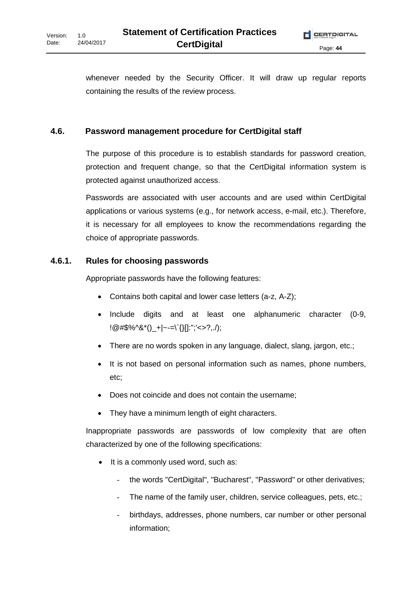whenever needed by the Security Officer. It will draw up regular reports containing the results of the review process.

#### **4.6. Password management procedure for CertDigital staff**

The purpose of this procedure is to establish standards for password creation, protection and frequent change, so that the CertDigital information system is protected against unauthorized access.

Passwords are associated with user accounts and are used within CertDigital applications or various systems (e.g., for network access, e-mail, etc.). Therefore, it is necessary for all employees to know the recommendations regarding the choice of appropriate passwords.

#### **4.6.1. Rules for choosing passwords**

Appropriate passwords have the following features:

- Contains both capital and lower case letters (a-z, A-Z);
- Include digits and at least one alphanumeric character (0-9,  $!@$ #\$%^&\*()\_+|~-=\`{}[]:";'<>?,./);
- There are no words spoken in any language, dialect, slang, jargon, etc.;
- It is not based on personal information such as names, phone numbers, etc;
- Does not coincide and does not contain the username;
- They have a minimum length of eight characters.

Inappropriate passwords are passwords of low complexity that are often characterized by one of the following specifications:

- It is a commonly used word, such as:
	- the words "CertDigital", "Bucharest", "Password" or other derivatives;
	- The name of the family user, children, service colleagues, pets, etc.;
	- birthdays, addresses, phone numbers, car number or other personal information;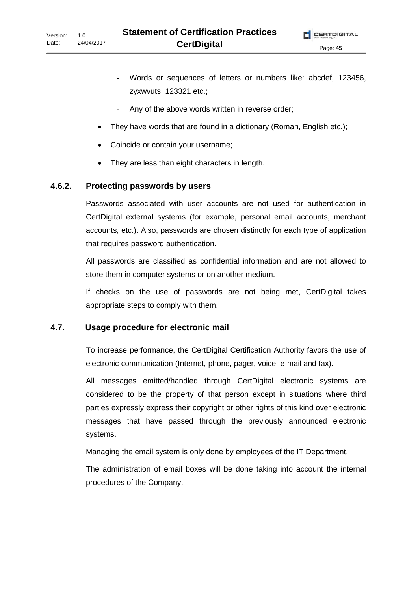- Words or sequences of letters or numbers like: abcdef, 123456, zyxwvuts, 123321 etc.;
- Any of the above words written in reverse order;
- They have words that are found in a dictionary (Roman, English etc.);
- Coincide or contain your username;
- They are less than eight characters in length.

#### **4.6.2. Protecting passwords by users**

Passwords associated with user accounts are not used for authentication in CertDigital external systems (for example, personal email accounts, merchant accounts, etc.). Also, passwords are chosen distinctly for each type of application that requires password authentication.

All passwords are classified as confidential information and are not allowed to store them in computer systems or on another medium.

If checks on the use of passwords are not being met, CertDigital takes appropriate steps to comply with them.

#### **4.7. Usage procedure for electronic mail**

To increase performance, the CertDigital Certification Authority favors the use of electronic communication (Internet, phone, pager, voice, e-mail and fax).

All messages emitted/handled through CertDigital electronic systems are considered to be the property of that person except in situations where third parties expressly express their copyright or other rights of this kind over electronic messages that have passed through the previously announced electronic systems.

Managing the email system is only done by employees of the IT Department.

The administration of email boxes will be done taking into account the internal procedures of the Company.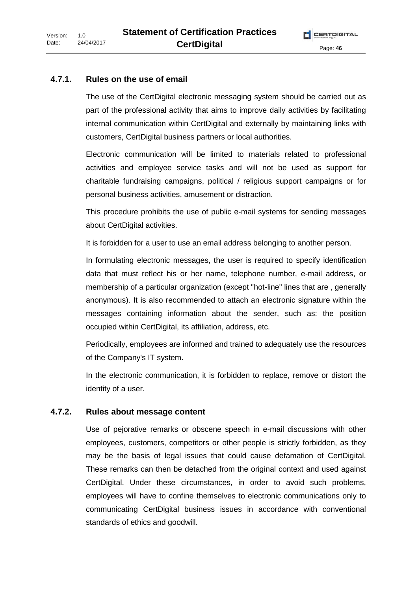#### **4.7.1. Rules on the use of email**

The use of the CertDigital electronic messaging system should be carried out as part of the professional activity that aims to improve daily activities by facilitating internal communication within CertDigital and externally by maintaining links with customers, CertDigital business partners or local authorities.

Electronic communication will be limited to materials related to professional activities and employee service tasks and will not be used as support for charitable fundraising campaigns, political / religious support campaigns or for personal business activities, amusement or distraction.

This procedure prohibits the use of public e-mail systems for sending messages about CertDigital activities.

It is forbidden for a user to use an email address belonging to another person.

In formulating electronic messages, the user is required to specify identification data that must reflect his or her name, telephone number, e-mail address, or membership of a particular organization (except "hot-line" lines that are , generally anonymous). It is also recommended to attach an electronic signature within the messages containing information about the sender, such as: the position occupied within CertDigital, its affiliation, address, etc.

Periodically, employees are informed and trained to adequately use the resources of the Company's IT system.

In the electronic communication, it is forbidden to replace, remove or distort the identity of a user.

#### **4.7.2. Rules about message content**

Use of pejorative remarks or obscene speech in e-mail discussions with other employees, customers, competitors or other people is strictly forbidden, as they may be the basis of legal issues that could cause defamation of CertDigital. These remarks can then be detached from the original context and used against CertDigital. Under these circumstances, in order to avoid such problems, employees will have to confine themselves to electronic communications only to communicating CertDigital business issues in accordance with conventional standards of ethics and goodwill.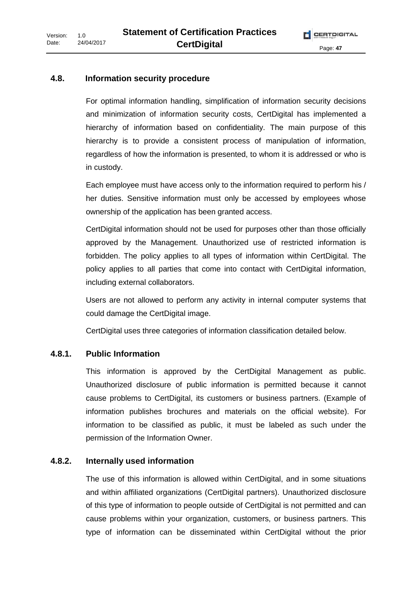# **4.8. Information security procedure**

For optimal information handling, simplification of information security decisions and minimization of information security costs, CertDigital has implemented a hierarchy of information based on confidentiality. The main purpose of this hierarchy is to provide a consistent process of manipulation of information, regardless of how the information is presented, to whom it is addressed or who is in custody.

Each employee must have access only to the information required to perform his / her duties. Sensitive information must only be accessed by employees whose ownership of the application has been granted access.

CertDigital information should not be used for purposes other than those officially approved by the Management. Unauthorized use of restricted information is forbidden. The policy applies to all types of information within CertDigital. The policy applies to all parties that come into contact with CertDigital information, including external collaborators.

Users are not allowed to perform any activity in internal computer systems that could damage the CertDigital image.

CertDigital uses three categories of information classification detailed below.

# **4.8.1. Public Information**

This information is approved by the CertDigital Management as public. Unauthorized disclosure of public information is permitted because it cannot cause problems to CertDigital, its customers or business partners. (Example of information publishes brochures and materials on the official website). For information to be classified as public, it must be labeled as such under the permission of the Information Owner.

# **4.8.2. Internally used information**

The use of this information is allowed within CertDigital, and in some situations and within affiliated organizations (CertDigital partners). Unauthorized disclosure of this type of information to people outside of CertDigital is not permitted and can cause problems within your organization, customers, or business partners. This type of information can be disseminated within CertDigital without the prior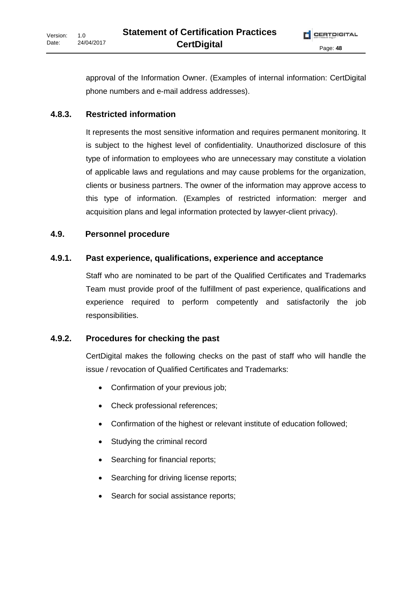approval of the Information Owner. (Examples of internal information: CertDigital phone numbers and e-mail address addresses).

#### **4.8.3. Restricted information**

It represents the most sensitive information and requires permanent monitoring. It is subject to the highest level of confidentiality. Unauthorized disclosure of this type of information to employees who are unnecessary may constitute a violation of applicable laws and regulations and may cause problems for the organization, clients or business partners. The owner of the information may approve access to this type of information. (Examples of restricted information: merger and acquisition plans and legal information protected by lawyer-client privacy).

#### **4.9. Personnel procedure**

#### **4.9.1. Past experience, qualifications, experience and acceptance**

Staff who are nominated to be part of the Qualified Certificates and Trademarks Team must provide proof of the fulfillment of past experience, qualifications and experience required to perform competently and satisfactorily the job responsibilities.

#### **4.9.2. Procedures for checking the past**

CertDigital makes the following checks on the past of staff who will handle the issue / revocation of Qualified Certificates and Trademarks:

- Confirmation of your previous job;
- Check professional references;
- Confirmation of the highest or relevant institute of education followed;
- Studying the criminal record
- Searching for financial reports;
- Searching for driving license reports;
- Search for social assistance reports;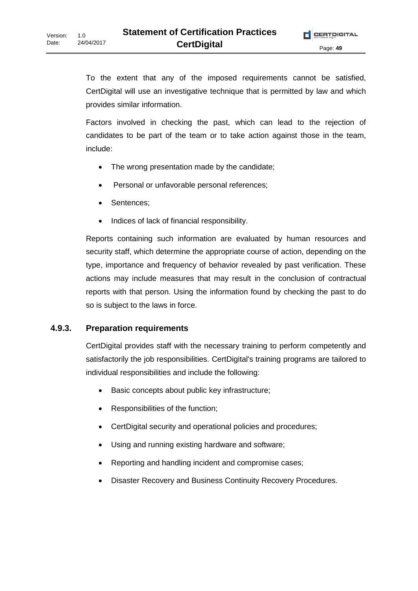To the extent that any of the imposed requirements cannot be satisfied, CertDigital will use an investigative technique that is permitted by law and which provides similar information.

Factors involved in checking the past, which can lead to the rejection of candidates to be part of the team or to take action against those in the team, include:

- The wrong presentation made by the candidate;
- Personal or unfavorable personal references;
- Sentences;
- Indices of lack of financial responsibility.

Reports containing such information are evaluated by human resources and security staff, which determine the appropriate course of action, depending on the type, importance and frequency of behavior revealed by past verification. These actions may include measures that may result in the conclusion of contractual reports with that person. Using the information found by checking the past to do so is subject to the laws in force.

#### **4.9.3. Preparation requirements**

CertDigital provides staff with the necessary training to perform competently and satisfactorily the job responsibilities. CertDigital's training programs are tailored to individual responsibilities and include the following:

- Basic concepts about public key infrastructure;
- Responsibilities of the function;
- CertDigital security and operational policies and procedures;
- Using and running existing hardware and software;
- Reporting and handling incident and compromise cases;
- Disaster Recovery and Business Continuity Recovery Procedures.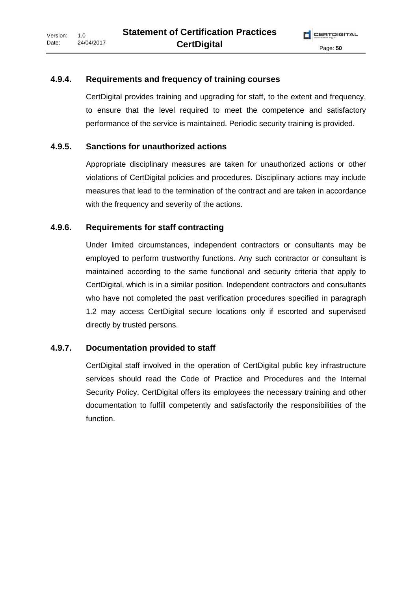#### **4.9.4. Requirements and frequency of training courses**

CertDigital provides training and upgrading for staff, to the extent and frequency, to ensure that the level required to meet the competence and satisfactory performance of the service is maintained. Periodic security training is provided.

#### **4.9.5. Sanctions for unauthorized actions**

Appropriate disciplinary measures are taken for unauthorized actions or other violations of CertDigital policies and procedures. Disciplinary actions may include measures that lead to the termination of the contract and are taken in accordance with the frequency and severity of the actions.

#### **4.9.6. Requirements for staff contracting**

Under limited circumstances, independent contractors or consultants may be employed to perform trustworthy functions. Any such contractor or consultant is maintained according to the same functional and security criteria that apply to CertDigital, which is in a similar position. Independent contractors and consultants who have not completed the past verification procedures specified in paragraph 1.2 may access CertDigital secure locations only if escorted and supervised directly by trusted persons.

#### **4.9.7. Documentation provided to staff**

CertDigital staff involved in the operation of CertDigital public key infrastructure services should read the Code of Practice and Procedures and the Internal Security Policy. CertDigital offers its employees the necessary training and other documentation to fulfill competently and satisfactorily the responsibilities of the function.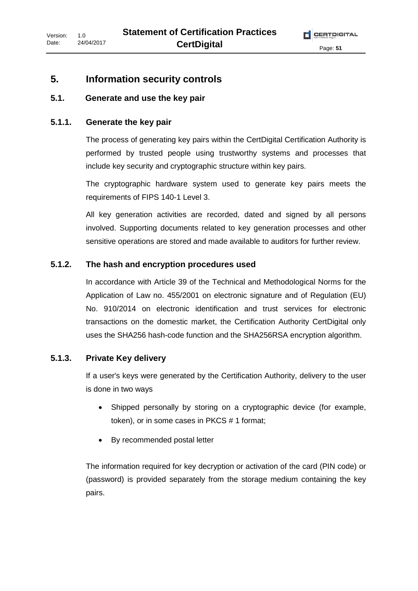### **5. Information security controls**

#### **5.1. Generate and use the key pair**

#### **5.1.1. Generate the key pair**

The process of generating key pairs within the CertDigital Certification Authority is performed by trusted people using trustworthy systems and processes that include key security and cryptographic structure within key pairs.

The cryptographic hardware system used to generate key pairs meets the requirements of FIPS 140-1 Level 3.

All key generation activities are recorded, dated and signed by all persons involved. Supporting documents related to key generation processes and other sensitive operations are stored and made available to auditors for further review.

#### **5.1.2. The hash and encryption procedures used**

In accordance with Article 39 of the Technical and Methodological Norms for the Application of Law no. 455/2001 on electronic signature and of Regulation (EU) No. 910/2014 on electronic identification and trust services for electronic transactions on the domestic market, the Certification Authority CertDigital only uses the SHA256 hash-code function and the SHA256RSA encryption algorithm.

#### **5.1.3. Private Key delivery**

If a user's keys were generated by the Certification Authority, delivery to the user is done in two ways

- Shipped personally by storing on a cryptographic device (for example, token), or in some cases in PKCS # 1 format;
- By recommended postal letter

The information required for key decryption or activation of the card (PIN code) or (password) is provided separately from the storage medium containing the key pairs.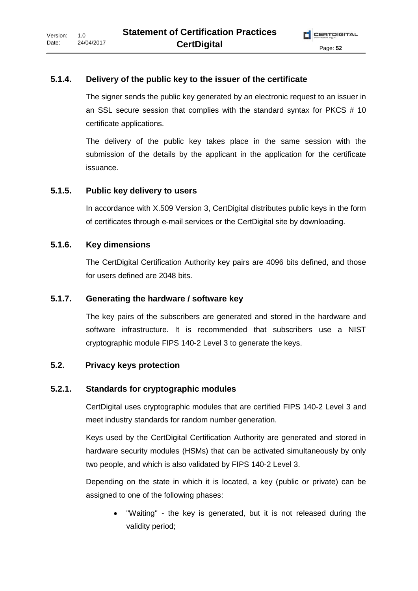#### **5.1.4. Delivery of the public key to the issuer of the certificate**

The signer sends the public key generated by an electronic request to an issuer in an SSL secure session that complies with the standard syntax for PKCS # 10 certificate applications.

The delivery of the public key takes place in the same session with the submission of the details by the applicant in the application for the certificate issuance.

#### **5.1.5. Public key delivery to users**

In accordance with X.509 Version 3, CertDigital distributes public keys in the form of certificates through e-mail services or the CertDigital site by downloading.

#### **5.1.6. Key dimensions**

The CertDigital Certification Authority key pairs are 4096 bits defined, and those for users defined are 2048 bits.

#### **5.1.7. Generating the hardware / software key**

The key pairs of the subscribers are generated and stored in the hardware and software infrastructure. It is recommended that subscribers use a NIST cryptographic module FIPS 140-2 Level 3 to generate the keys.

#### **5.2. Privacy keys protection**

#### **5.2.1. Standards for cryptographic modules**

CertDigital uses cryptographic modules that are certified FIPS 140-2 Level 3 and meet industry standards for random number generation.

Keys used by the CertDigital Certification Authority are generated and stored in hardware security modules (HSMs) that can be activated simultaneously by only two people, and which is also validated by FIPS 140-2 Level 3.

Depending on the state in which it is located, a key (public or private) can be assigned to one of the following phases:

"Waiting" - the key is generated, but it is not released during the validity period;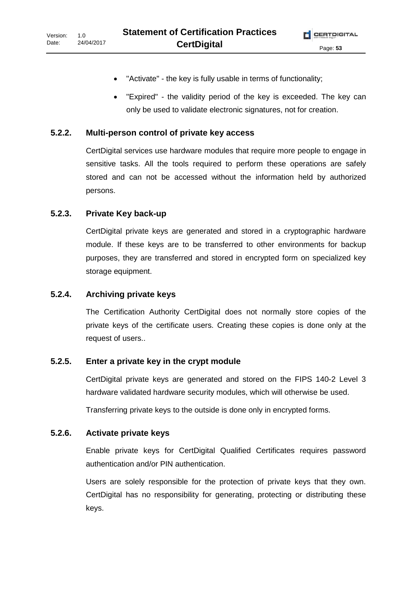- "Activate" the key is fully usable in terms of functionality;
- "Expired" the validity period of the key is exceeded. The key can only be used to validate electronic signatures, not for creation.

#### **5.2.2. Multi-person control of private key access**

CertDigital services use hardware modules that require more people to engage in sensitive tasks. All the tools required to perform these operations are safely stored and can not be accessed without the information held by authorized persons.

#### **5.2.3. Private Key back-up**

CertDigital private keys are generated and stored in a cryptographic hardware module. If these keys are to be transferred to other environments for backup purposes, they are transferred and stored in encrypted form on specialized key storage equipment.

#### **5.2.4. Archiving private keys**

The Certification Authority CertDigital does not normally store copies of the private keys of the certificate users. Creating these copies is done only at the request of users..

#### **5.2.5. Enter a private key in the crypt module**

CertDigital private keys are generated and stored on the FIPS 140-2 Level 3 hardware validated hardware security modules, which will otherwise be used.

Transferring private keys to the outside is done only in encrypted forms.

#### **5.2.6. Activate private keys**

Enable private keys for CertDigital Qualified Certificates requires password authentication and/or PIN authentication.

Users are solely responsible for the protection of private keys that they own. CertDigital has no responsibility for generating, protecting or distributing these keys.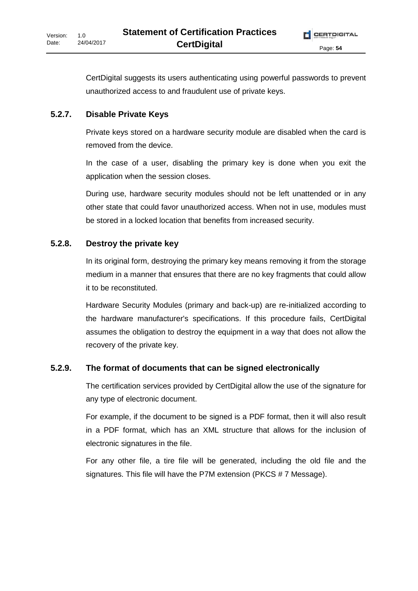CertDigital suggests its users authenticating using powerful passwords to prevent unauthorized access to and fraudulent use of private keys.

# **5.2.7. Disable Private Keys**

Private keys stored on a hardware security module are disabled when the card is removed from the device.

In the case of a user, disabling the primary key is done when you exit the application when the session closes.

During use, hardware security modules should not be left unattended or in any other state that could favor unauthorized access. When not in use, modules must be stored in a locked location that benefits from increased security.

# **5.2.8. Destroy the private key**

In its original form, destroying the primary key means removing it from the storage medium in a manner that ensures that there are no key fragments that could allow it to be reconstituted.

Hardware Security Modules (primary and back-up) are re-initialized according to the hardware manufacturer's specifications. If this procedure fails, CertDigital assumes the obligation to destroy the equipment in a way that does not allow the recovery of the private key.

# **5.2.9. The format of documents that can be signed electronically**

The certification services provided by CertDigital allow the use of the signature for any type of electronic document.

For example, if the document to be signed is a PDF format, then it will also result in a PDF format, which has an XML structure that allows for the inclusion of electronic signatures in the file.

For any other file, a tire file will be generated, including the old file and the signatures. This file will have the P7M extension (PKCS # 7 Message).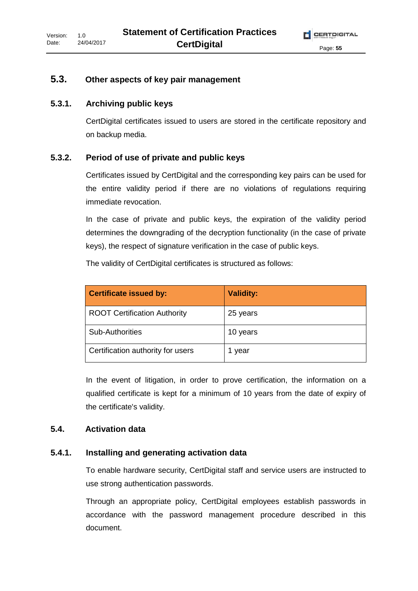### **5.3. Other aspects of key pair management**

#### **5.3.1. Archiving public keys**

CertDigital certificates issued to users are stored in the certificate repository and on backup media.

#### **5.3.2. Period of use of private and public keys**

Certificates issued by CertDigital and the corresponding key pairs can be used for the entire validity period if there are no violations of regulations requiring immediate revocation.

In the case of private and public keys, the expiration of the validity period determines the downgrading of the decryption functionality (in the case of private keys), the respect of signature verification in the case of public keys.

The validity of CertDigital certificates is structured as follows:

| <b>Certificate issued by:</b>       | <b>Validity:</b> |
|-------------------------------------|------------------|
| <b>ROOT Certification Authority</b> | 25 years         |
| <b>Sub-Authorities</b>              | 10 years         |
| Certification authority for users   | 1 year           |

In the event of litigation, in order to prove certification, the information on a qualified certificate is kept for a minimum of 10 years from the date of expiry of the certificate's validity.

#### **5.4. Activation data**

#### **5.4.1. Installing and generating activation data**

To enable hardware security, CertDigital staff and service users are instructed to use strong authentication passwords.

Through an appropriate policy, CertDigital employees establish passwords in accordance with the password management procedure described in this document.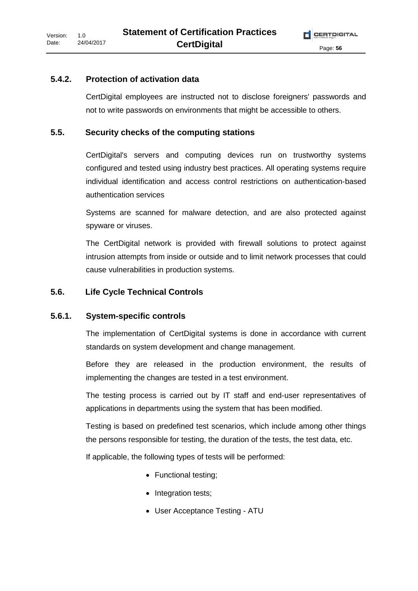#### **5.4.2. Protection of activation data**

CertDigital employees are instructed not to disclose foreigners' passwords and not to write passwords on environments that might be accessible to others.

#### **5.5. Security checks of the computing stations**

CertDigital's servers and computing devices run on trustworthy systems configured and tested using industry best practices. All operating systems require individual identification and access control restrictions on authentication-based authentication services

Systems are scanned for malware detection, and are also protected against spyware or viruses.

The CertDigital network is provided with firewall solutions to protect against intrusion attempts from inside or outside and to limit network processes that could cause vulnerabilities in production systems.

#### **5.6. Life Cycle Technical Controls**

#### **5.6.1. System-specific controls**

The implementation of CertDigital systems is done in accordance with current standards on system development and change management.

Before they are released in the production environment, the results of implementing the changes are tested in a test environment.

The testing process is carried out by IT staff and end-user representatives of applications in departments using the system that has been modified.

Testing is based on predefined test scenarios, which include among other things the persons responsible for testing, the duration of the tests, the test data, etc.

If applicable, the following types of tests will be performed:

- Functional testing;
- Integration tests;
- User Acceptance Testing ATU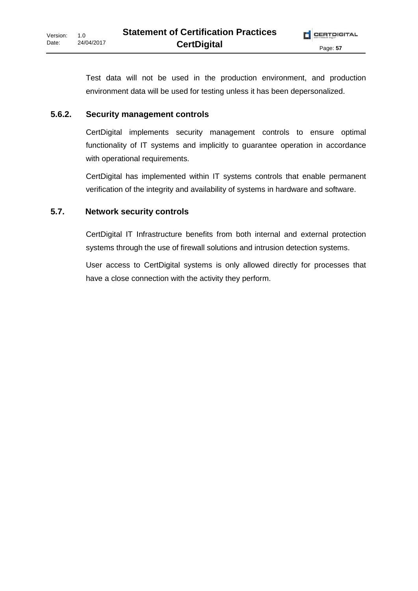Test data will not be used in the production environment, and production environment data will be used for testing unless it has been depersonalized.

# **5.6.2. Security management controls**

CertDigital implements security management controls to ensure optimal functionality of IT systems and implicitly to guarantee operation in accordance with operational requirements.

CertDigital has implemented within IT systems controls that enable permanent verification of the integrity and availability of systems in hardware and software.

# **5.7. Network security controls**

CertDigital IT Infrastructure benefits from both internal and external protection systems through the use of firewall solutions and intrusion detection systems.

User access to CertDigital systems is only allowed directly for processes that have a close connection with the activity they perform.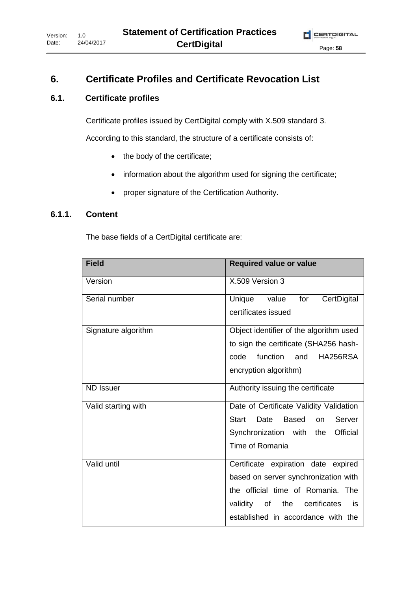# **6. Certificate Profiles and Certificate Revocation List**

## **6.1. Certificate profiles**

Certificate profiles issued by CertDigital comply with X.509 standard 3.

According to this standard, the structure of a certificate consists of:

- the body of the certificate;
- information about the algorithm used for signing the certificate;
- proper signature of the Certification Authority.

#### **6.1.1. Content**

The base fields of a CertDigital certificate are:

| <b>Field</b>        | <b>Required value or value</b>                       |
|---------------------|------------------------------------------------------|
| Version             | X.509 Version 3                                      |
| Serial number       | CertDigital<br>Unique<br>for<br>value                |
|                     | certificates issued                                  |
| Signature algorithm | Object identifier of the algorithm used              |
|                     | to sign the certificate (SHA256 hash-                |
|                     | function<br>code<br>and<br>HA256RSA                  |
|                     | encryption algorithm)                                |
| <b>ND Issuer</b>    | Authority issuing the certificate                    |
| Valid starting with | Date of Certificate Validity Validation              |
|                     | <b>Start</b><br>Date<br>Based<br>Server<br><b>on</b> |
|                     | Synchronization with<br>Official<br>the              |
|                     | Time of Romania                                      |
| Valid until         | Certificate expiration date expired                  |
|                     | based on server synchronization with                 |
|                     | the official time of Romania. The                    |
|                     | validity<br>the<br>certificates<br>of<br>is          |
|                     | established in accordance with the                   |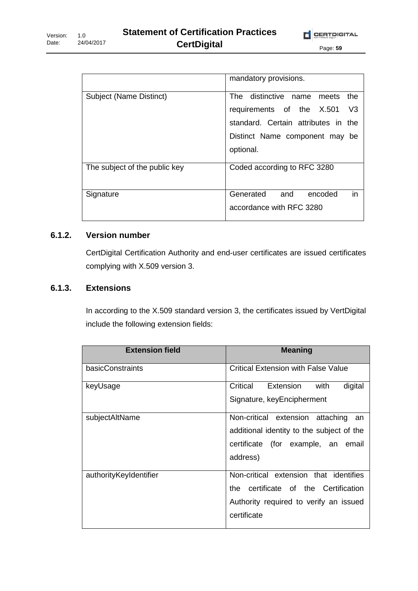|                               | mandatory provisions.                       |
|-------------------------------|---------------------------------------------|
| Subject (Name Distinct)       | distinctive name<br>The<br>the<br>meets     |
|                               | V <sub>3</sub><br>requirements of the X.501 |
|                               | standard. Certain attributes in the         |
|                               | Distinct Name component may<br>be           |
|                               | optional.                                   |
| The subject of the public key | Coded according to RFC 3280                 |
| Signature                     | in<br>Generated<br>and<br>encoded           |
|                               | accordance with RFC 3280                    |

### **6.1.2. Version number**

CertDigital Certification Authority and end-user certificates are issued certificates complying with X.509 version 3.

#### **6.1.3. Extensions**

In according to the X.509 standard version 3, the certificates issued by VertDigital include the following extension fields:

| <b>Extension field</b> | <b>Meaning</b>                                                                                                                           |
|------------------------|------------------------------------------------------------------------------------------------------------------------------------------|
| basicConstraints       | <b>Critical Extension with False Value</b>                                                                                               |
| keyUsage               | Extension<br>Critical<br>digital<br>with<br>Signature, keyEncipherment                                                                   |
| subjectAltName         | Non-critical extension<br>attaching<br>an<br>additional identity to the subject of the<br>certificate (for example, an email<br>address) |
| authorityKeyIdentifier | Non-critical extension that identifies<br>the certificate of the Certification<br>Authority required to verify an issued<br>certificate  |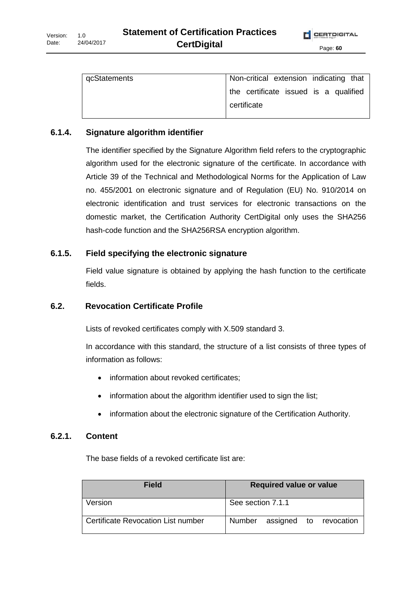| gcStatements | Non-critical extension indicating that |
|--------------|----------------------------------------|
|              | the certificate issued is a qualified  |
|              | certificate                            |

#### **6.1.4. Signature algorithm identifier**

The identifier specified by the Signature Algorithm field refers to the cryptographic algorithm used for the electronic signature of the certificate. In accordance with Article 39 of the Technical and Methodological Norms for the Application of Law no. 455/2001 on electronic signature and of Regulation (EU) No. 910/2014 on electronic identification and trust services for electronic transactions on the domestic market, the Certification Authority CertDigital only uses the SHA256 hash-code function and the SHA256RSA encryption algorithm.

#### **6.1.5. Field specifying the electronic signature**

Field value signature is obtained by applying the hash function to the certificate fields.

#### **6.2. Revocation Certificate Profile**

Lists of revoked certificates comply with X.509 standard 3.

In accordance with this standard, the structure of a list consists of three types of information as follows:

- information about revoked certificates;
- information about the algorithm identifier used to sign the list;
- information about the electronic signature of the Certification Authority.

#### **6.2.1. Content**

The base fields of a revoked certificate list are:

| <b>Field</b>                       | <b>Required value or value</b> |
|------------------------------------|--------------------------------|
| Version                            | See section 7.1.1              |
| Certificate Revocation List number | Number assigned to revocation  |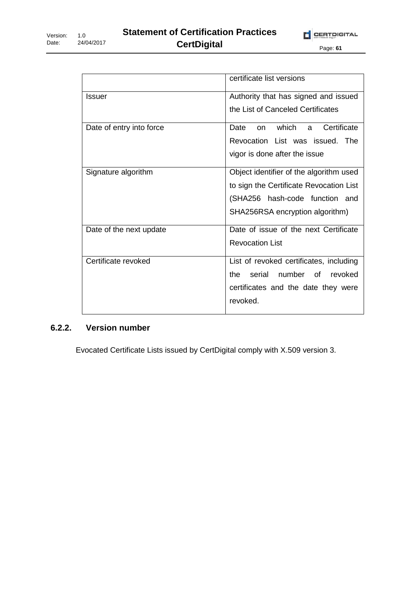|                          | certificate list versions               |
|--------------------------|-----------------------------------------|
| Issuer                   | Authority that has signed and issued    |
|                          | the List of Canceled Certificates       |
| Date of entry into force | which a<br>Certificate<br>Date<br>on.   |
|                          | Revocation List was issued. The         |
|                          | vigor is done after the issue           |
| Signature algorithm      | Object identifier of the algorithm used |
|                          | to sign the Certificate Revocation List |
|                          | (SHA256 hash-code function and          |
|                          | SHA256RSA encryption algorithm)         |
| Date of the next update  | Date of issue of the next Certificate   |
|                          | <b>Revocation List</b>                  |
| Certificate revoked      | List of revoked certificates, including |
|                          | number of<br>the.<br>serial<br>revoked  |
|                          | certificates and the date they were     |
|                          | revoked.                                |
|                          |                                         |

# **6.2.2. Version number**

Evocated Certificate Lists issued by CertDigital comply with X.509 version 3.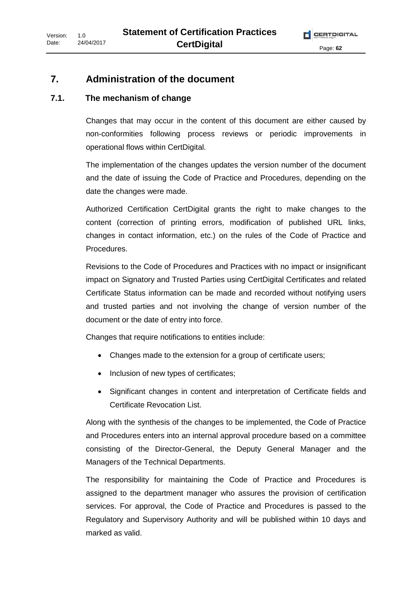### **7. Administration of the document**

#### **7.1. The mechanism of change**

Changes that may occur in the content of this document are either caused by non-conformities following process reviews or periodic improvements in operational flows within CertDigital.

The implementation of the changes updates the version number of the document and the date of issuing the Code of Practice and Procedures, depending on the date the changes were made.

Authorized Certification CertDigital grants the right to make changes to the content (correction of printing errors, modification of published URL links, changes in contact information, etc.) on the rules of the Code of Practice and Procedures.

Revisions to the Code of Procedures and Practices with no impact or insignificant impact on Signatory and Trusted Parties using CertDigital Certificates and related Certificate Status information can be made and recorded without notifying users and trusted parties and not involving the change of version number of the document or the date of entry into force.

Changes that require notifications to entities include:

- Changes made to the extension for a group of certificate users;
- Inclusion of new types of certificates;
- Significant changes in content and interpretation of Certificate fields and Certificate Revocation List.

Along with the synthesis of the changes to be implemented, the Code of Practice and Procedures enters into an internal approval procedure based on a committee consisting of the Director-General, the Deputy General Manager and the Managers of the Technical Departments.

The responsibility for maintaining the Code of Practice and Procedures is assigned to the department manager who assures the provision of certification services. For approval, the Code of Practice and Procedures is passed to the Regulatory and Supervisory Authority and will be published within 10 days and marked as valid.